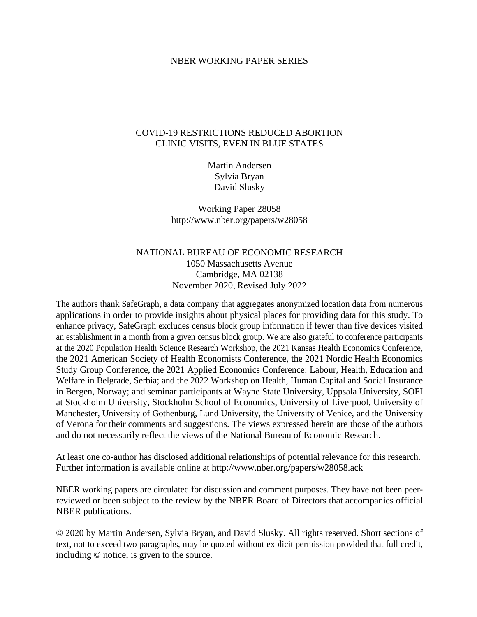### NBER WORKING PAPER SERIES

### COVID-19 RESTRICTIONS REDUCED ABORTION CLINIC VISITS, EVEN IN BLUE STATES

Martin Andersen Sylvia Bryan David Slusky

Working Paper 28058 http://www.nber.org/papers/w28058

## NATIONAL BUREAU OF ECONOMIC RESEARCH 1050 Massachusetts Avenue Cambridge, MA 02138 November 2020, Revised July 2022

The authors thank SafeGraph, a data company that aggregates anonymized location data from numerous applications in order to provide insights about physical places for providing data for this study. To enhance privacy, SafeGraph excludes census block group information if fewer than five devices visited an establishment in a month from a given census block group. We are also grateful to conference participants at the 2020 Population Health Science Research Workshop, the 2021 Kansas Health Economics Conference, the 2021 American Society of Health Economists Conference, the 2021 Nordic Health Economics Study Group Conference, the 2021 Applied Economics Conference: Labour, Health, Education and Welfare in Belgrade, Serbia; and the 2022 Workshop on Health, Human Capital and Social Insurance in Bergen, Norway; and seminar participants at Wayne State University, Uppsala University, SOFI at Stockholm University, Stockholm School of Economics, University of Liverpool, University of Manchester, University of Gothenburg, Lund University, the University of Venice, and the University of Verona for their comments and suggestions. The views expressed herein are those of the authors and do not necessarily reflect the views of the National Bureau of Economic Research.

At least one co-author has disclosed additional relationships of potential relevance for this research. Further information is available online at http://www.nber.org/papers/w28058.ack

NBER working papers are circulated for discussion and comment purposes. They have not been peerreviewed or been subject to the review by the NBER Board of Directors that accompanies official NBER publications.

© 2020 by Martin Andersen, Sylvia Bryan, and David Slusky. All rights reserved. Short sections of text, not to exceed two paragraphs, may be quoted without explicit permission provided that full credit, including © notice, is given to the source.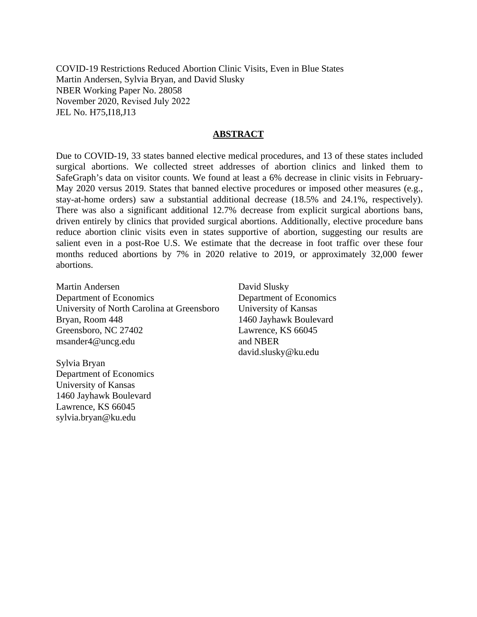COVID-19 Restrictions Reduced Abortion Clinic Visits, Even in Blue States Martin Andersen, Sylvia Bryan, and David Slusky NBER Working Paper No. 28058 November 2020, Revised July 2022 JEL No. H75,I18,J13

### **ABSTRACT**

Due to COVID-19, 33 states banned elective medical procedures, and 13 of these states included surgical abortions. We collected street addresses of abortion clinics and linked them to SafeGraph's data on visitor counts. We found at least a 6% decrease in clinic visits in February-May 2020 versus 2019. States that banned elective procedures or imposed other measures (e.g., stay-at-home orders) saw a substantial additional decrease (18.5% and 24.1%, respectively). There was also a significant additional 12.7% decrease from explicit surgical abortions bans, driven entirely by clinics that provided surgical abortions. Additionally, elective procedure bans reduce abortion clinic visits even in states supportive of abortion, suggesting our results are salient even in a post-Roe U.S. We estimate that the decrease in foot traffic over these four months reduced abortions by 7% in 2020 relative to 2019, or approximately 32,000 fewer abortions.

Martin Andersen Department of Economics University of North Carolina at Greensboro Bryan, Room 448 Greensboro, NC 27402 msander4@uncg.edu

David Slusky Department of Economics University of Kansas 1460 Jayhawk Boulevard Lawrence, KS 66045 and NBER david.slusky@ku.edu

Sylvia Bryan Department of Economics University of Kansas 1460 Jayhawk Boulevard Lawrence, KS 66045 sylvia.bryan@ku.edu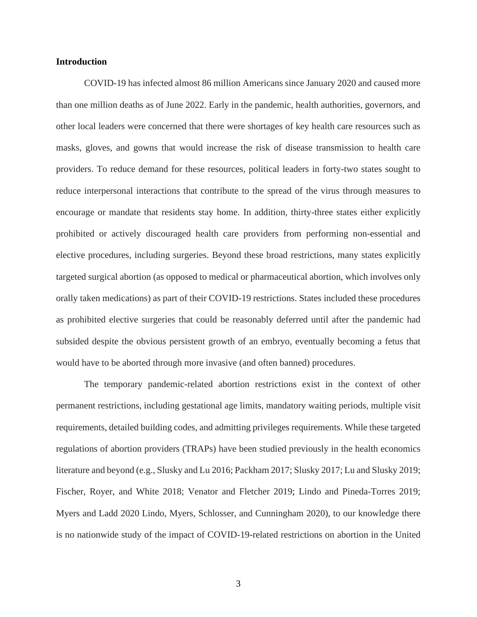### **Introduction**

COVID-19 has infected almost 86 million Americans since January 2020 and caused more than one million deaths as of June 2022. Early in the pandemic, health authorities, governors, and other local leaders were concerned that there were shortages of key health care resources such as masks, gloves, and gowns that would increase the risk of disease transmission to health care providers. To reduce demand for these resources, political leaders in forty-two states sought to reduce interpersonal interactions that contribute to the spread of the virus through measures to encourage or mandate that residents stay home. In addition, thirty-three states either explicitly prohibited or actively discouraged health care providers from performing non-essential and elective procedures, including surgeries. Beyond these broad restrictions, many states explicitly targeted surgical abortion (as opposed to medical or pharmaceutical abortion, which involves only orally taken medications) as part of their COVID-19 restrictions. States included these procedures as prohibited elective surgeries that could be reasonably deferred until after the pandemic had subsided despite the obvious persistent growth of an embryo, eventually becoming a fetus that would have to be aborted through more invasive (and often banned) procedures.

The temporary pandemic-related abortion restrictions exist in the context of other permanent restrictions, including gestational age limits, mandatory waiting periods, multiple visit requirements, detailed building codes, and admitting privileges requirements. While these targeted regulations of abortion providers (TRAPs) have been studied previously in the health economics literature and beyond (e.g., Slusky and Lu 2016; Packham 2017; Slusky 2017; Lu and Slusky 2019; Fischer, Royer, and White 2018; Venator and Fletcher 2019; Lindo and Pineda-Torres 2019; Myers and Ladd 2020 Lindo, Myers, Schlosser, and Cunningham 2020), to our knowledge there is no nationwide study of the impact of COVID-19-related restrictions on abortion in the United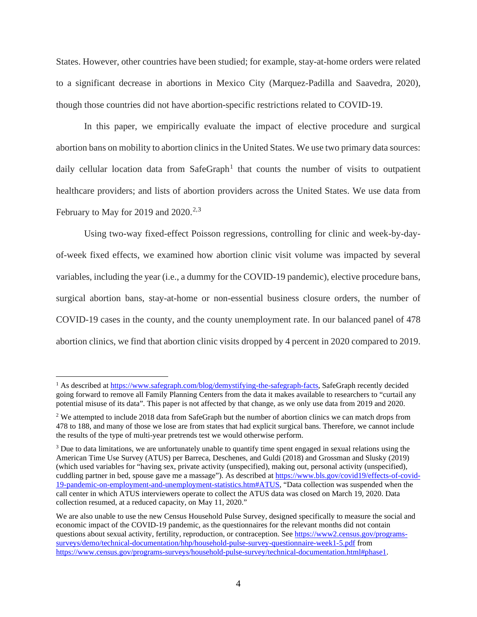States. However, other countries have been studied; for example, stay-at-home orders were related to a significant decrease in abortions in Mexico City (Marquez-Padilla and Saavedra, 2020), though those countries did not have abortion-specific restrictions related to COVID-19.

In this paper, we empirically evaluate the impact of elective procedure and surgical abortion bans on mobility to abortion clinics in the United States. We use two primary data sources: daily cellular location data from SafeGraph<sup>[1](#page-3-0)</sup> that counts the number of visits to outpatient healthcare providers; and lists of abortion providers across the United States. We use data from February to May for 2019 and 2020.<sup>[2,](#page-3-1)[3](#page-3-2)</sup>

Using two-way fixed-effect Poisson regressions, controlling for clinic and week-by-dayof-week fixed effects, we examined how abortion clinic visit volume was impacted by several variables, including the year (i.e., a dummy for the COVID-19 pandemic), elective procedure bans, surgical abortion bans, stay-at-home or non-essential business closure orders, the number of COVID-19 cases in the county, and the county unemployment rate. In our balanced panel of 478 abortion clinics, we find that abortion clinic visits dropped by 4 percent in 2020 compared to 2019.

<span id="page-3-0"></span><sup>&</sup>lt;sup>1</sup> As described at [https://www.safegraph.com/blog/demystifying-the-safegraph-facts,](https://www.safegraph.com/blog/demystifying-the-safegraph-facts) SafeGraph recently decided going forward to remove all Family Planning Centers from the data it makes available to researchers to "curtail any potential misuse of its data". This paper is not affected by that change, as we only use data from 2019 and 2020.

<span id="page-3-1"></span><sup>&</sup>lt;sup>2</sup> We attempted to include 2018 data from SafeGraph but the number of abortion clinics we can match drops from 478 to 188, and many of those we lose are from states that had explicit surgical bans. Therefore, we cannot include the results of the type of multi-year pretrends test we would otherwise perform.

<span id="page-3-2"></span><sup>&</sup>lt;sup>3</sup> Due to data limitations, we are unfortunately unable to quantify time spent engaged in sexual relations using the American Time Use Survey (ATUS) per Barreca, Deschenes, and Guldi (2018) and Grossman and Slusky (2019) (which used variables for "having sex, private activity (unspecified), making out, personal activity (unspecified), cuddling partner in bed, spouse gave me a massage"). As described a[t https://www.bls.gov/covid19/effects-of-covid-](https://www.bls.gov/covid19/effects-of-covid-19-pandemic-on-employment-and-unemployment-statistics.htm#ATUS)[19-pandemic-on-employment-and-unemployment-statistics.htm#ATUS,](https://www.bls.gov/covid19/effects-of-covid-19-pandemic-on-employment-and-unemployment-statistics.htm#ATUS) "Data collection was suspended when the call center in which ATUS interviewers operate to collect the ATUS data was closed on March 19, 2020. Data collection resumed, at a reduced capacity, on May 11, 2020."

We are also unable to use the new Census Household Pulse Survey, designed specifically to measure the social and economic impact of the COVID-19 pandemic, as the questionnaires for the relevant months did not contain questions about sexual activity, fertility, reproduction, or contraception. See [https://www2.census.gov/programs](https://www2.census.gov/programs-surveys/demo/technical-documentation/hhp/household-pulse-survey-questionnaire-week1-5.pdf)[surveys/demo/technical-documentation/hhp/household-pulse-survey-questionnaire-week1-5.pdf](https://www2.census.gov/programs-surveys/demo/technical-documentation/hhp/household-pulse-survey-questionnaire-week1-5.pdf) from [https://www.census.gov/programs-surveys/household-pulse-survey/technical-documentation.html#phase1.](https://www.census.gov/programs-surveys/household-pulse-survey/technical-documentation.html#phase1)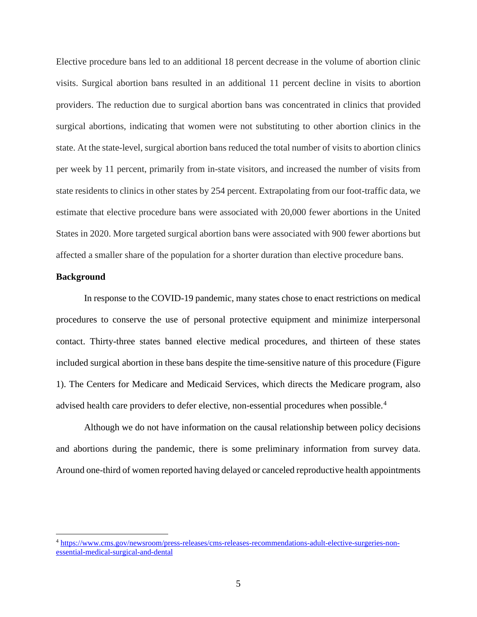Elective procedure bans led to an additional 18 percent decrease in the volume of abortion clinic visits. Surgical abortion bans resulted in an additional 11 percent decline in visits to abortion providers. The reduction due to surgical abortion bans was concentrated in clinics that provided surgical abortions, indicating that women were not substituting to other abortion clinics in the state. At the state-level, surgical abortion bans reduced the total number of visits to abortion clinics per week by 11 percent, primarily from in-state visitors, and increased the number of visits from state residents to clinics in other states by 254 percent. Extrapolating from our foot-traffic data, we estimate that elective procedure bans were associated with 20,000 fewer abortions in the United States in 2020. More targeted surgical abortion bans were associated with 900 fewer abortions but affected a smaller share of the population for a shorter duration than elective procedure bans.

### **Background**

In response to the COVID-19 pandemic, many states chose to enact restrictions on medical procedures to conserve the use of personal protective equipment and minimize interpersonal contact. Thirty-three states banned elective medical procedures, and thirteen of these states included surgical abortion in these bans despite the time-sensitive nature of this procedure (Figure 1). The Centers for Medicare and Medicaid Services, which directs the Medicare program, also advised health care providers to defer elective, non-essential procedures when possible.<sup>[4](#page-4-0)</sup>

Although we do not have information on the causal relationship between policy decisions and abortions during the pandemic, there is some preliminary information from survey data. Around one-third of women reported having delayed or canceled reproductive health appointments

<span id="page-4-0"></span><sup>4</sup> [https://www.cms.gov/newsroom/press-releases/cms-releases-recommendations-adult-elective-surgeries-non](https://www.cms.gov/newsroom/press-releases/cms-releases-recommendations-adult-elective-surgeries-non-essential-medical-surgical-and-dental)[essential-medical-surgical-and-dental](https://www.cms.gov/newsroom/press-releases/cms-releases-recommendations-adult-elective-surgeries-non-essential-medical-surgical-and-dental)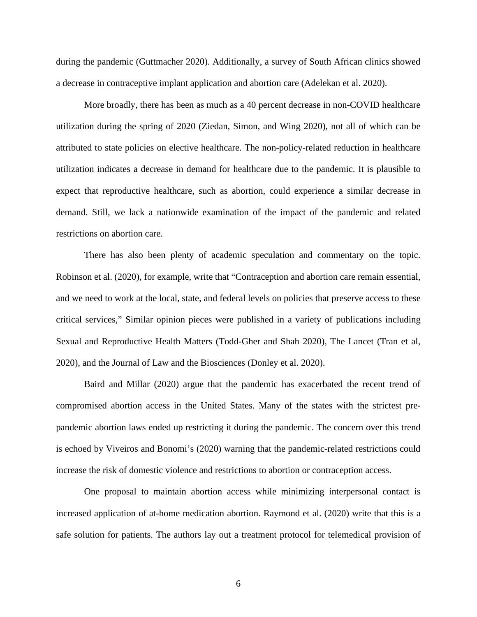during the pandemic (Guttmacher 2020). Additionally, a survey of South African clinics showed a decrease in contraceptive implant application and abortion care (Adelekan et al. 2020).

More broadly, there has been as much as a 40 percent decrease in non-COVID healthcare utilization during the spring of 2020 (Ziedan, Simon, and Wing 2020), not all of which can be attributed to state policies on elective healthcare. The non-policy-related reduction in healthcare utilization indicates a decrease in demand for healthcare due to the pandemic. It is plausible to expect that reproductive healthcare, such as abortion, could experience a similar decrease in demand. Still, we lack a nationwide examination of the impact of the pandemic and related restrictions on abortion care.

There has also been plenty of academic speculation and commentary on the topic. Robinson et al. (2020), for example, write that "Contraception and abortion care remain essential, and we need to work at the local, state, and federal levels on policies that preserve access to these critical services," Similar opinion pieces were published in a variety of publications including Sexual and Reproductive Health Matters (Todd-Gher and Shah 2020), The Lancet (Tran et al, 2020), and the Journal of Law and the Biosciences (Donley et al. 2020).

Baird and Millar (2020) argue that the pandemic has exacerbated the recent trend of compromised abortion access in the United States. Many of the states with the strictest prepandemic abortion laws ended up restricting it during the pandemic. The concern over this trend is echoed by Viveiros and Bonomi's (2020) warning that the pandemic-related restrictions could increase the risk of domestic violence and restrictions to abortion or contraception access.

One proposal to maintain abortion access while minimizing interpersonal contact is increased application of at-home medication abortion. Raymond et al. (2020) write that this is a safe solution for patients. The authors lay out a treatment protocol for telemedical provision of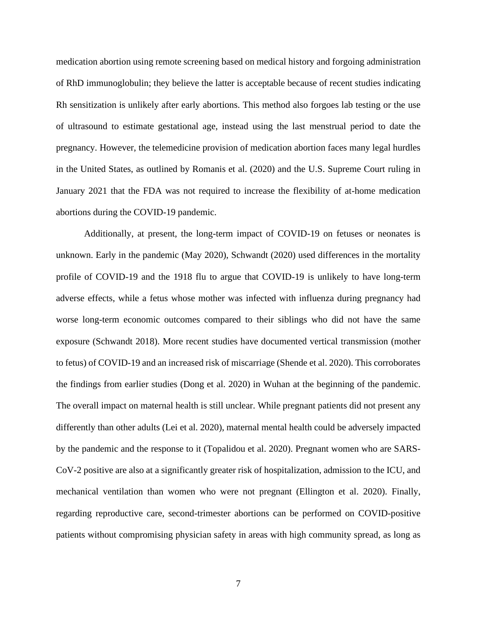medication abortion using remote screening based on medical history and forgoing administration of RhD immunoglobulin; they believe the latter is acceptable because of recent studies indicating Rh sensitization is unlikely after early abortions. This method also forgoes lab testing or the use of ultrasound to estimate gestational age, instead using the last menstrual period to date the pregnancy. However, the telemedicine provision of medication abortion faces many legal hurdles in the United States, as outlined by Romanis et al. (2020) and the U.S. Supreme Court ruling in January 2021 that the FDA was not required to increase the flexibility of at-home medication abortions during the COVID-19 pandemic.

Additionally, at present, the long-term impact of COVID-19 on fetuses or neonates is unknown. Early in the pandemic (May 2020), Schwandt (2020) used differences in the mortality profile of COVID-19 and the 1918 flu to argue that COVID-19 is unlikely to have long-term adverse effects, while a fetus whose mother was infected with influenza during pregnancy had worse long-term economic outcomes compared to their siblings who did not have the same exposure (Schwandt 2018). More recent studies have documented vertical transmission (mother to fetus) of COVID-19 and an increased risk of miscarriage (Shende et al. 2020). This corroborates the findings from earlier studies (Dong et al. 2020) in Wuhan at the beginning of the pandemic. The overall impact on maternal health is still unclear. While pregnant patients did not present any differently than other adults (Lei et al. 2020), maternal mental health could be adversely impacted by the pandemic and the response to it (Topalidou et al. 2020). Pregnant women who are SARS-CoV-2 positive are also at a significantly greater risk of hospitalization, admission to the ICU, and mechanical ventilation than women who were not pregnant (Ellington et al. 2020). Finally, regarding reproductive care, second-trimester abortions can be performed on COVID-positive patients without compromising physician safety in areas with high community spread, as long as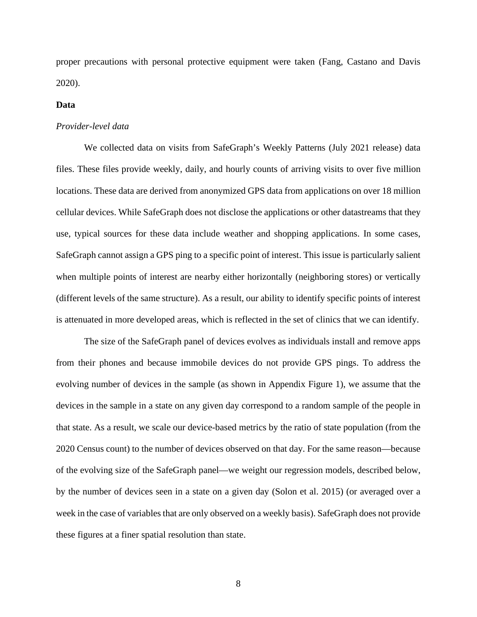proper precautions with personal protective equipment were taken (Fang, Castano and Davis 2020).

#### **Data**

### *Provider-level data*

We collected data on visits from SafeGraph's Weekly Patterns (July 2021 release) data files. These files provide weekly, daily, and hourly counts of arriving visits to over five million locations. These data are derived from anonymized GPS data from applications on over 18 million cellular devices. While SafeGraph does not disclose the applications or other datastreams that they use, typical sources for these data include weather and shopping applications. In some cases, SafeGraph cannot assign a GPS ping to a specific point of interest. This issue is particularly salient when multiple points of interest are nearby either horizontally (neighboring stores) or vertically (different levels of the same structure). As a result, our ability to identify specific points of interest is attenuated in more developed areas, which is reflected in the set of clinics that we can identify.

 The size of the SafeGraph panel of devices evolves as individuals install and remove apps from their phones and because immobile devices do not provide GPS pings. To address the evolving number of devices in the sample (as shown in Appendix Figure 1), we assume that the devices in the sample in a state on any given day correspond to a random sample of the people in that state. As a result, we scale our device-based metrics by the ratio of state population (from the 2020 Census count) to the number of devices observed on that day. For the same reason—because of the evolving size of the SafeGraph panel—we weight our regression models, described below, by the number of devices seen in a state on a given day (Solon et al. 2015) (or averaged over a week in the case of variables that are only observed on a weekly basis). SafeGraph does not provide these figures at a finer spatial resolution than state.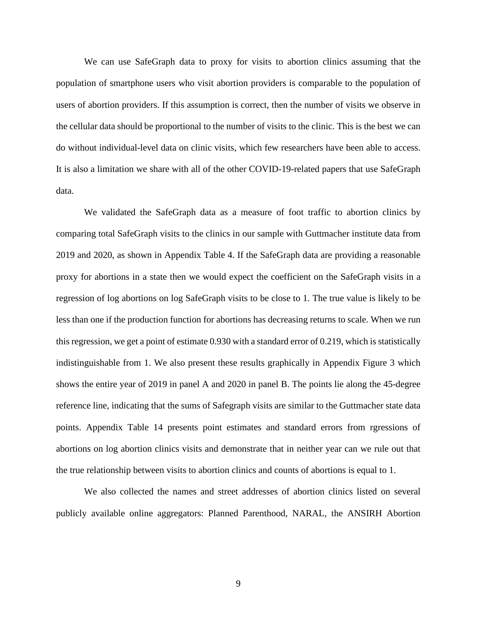We can use SafeGraph data to proxy for visits to abortion clinics assuming that the population of smartphone users who visit abortion providers is comparable to the population of users of abortion providers. If this assumption is correct, then the number of visits we observe in the cellular data should be proportional to the number of visits to the clinic. This is the best we can do without individual-level data on clinic visits, which few researchers have been able to access. It is also a limitation we share with all of the other COVID-19-related papers that use SafeGraph data.

We validated the SafeGraph data as a measure of foot traffic to abortion clinics by comparing total SafeGraph visits to the clinics in our sample with Guttmacher institute data from 2019 and 2020, as shown in Appendix Table 4. If the SafeGraph data are providing a reasonable proxy for abortions in a state then we would expect the coefficient on the SafeGraph visits in a regression of log abortions on log SafeGraph visits to be close to 1. The true value is likely to be less than one if the production function for abortions has decreasing returns to scale. When we run this regression, we get a point of estimate 0.930 with a standard error of 0.219, which is statistically indistinguishable from 1. We also present these results graphically in Appendix Figure 3 which shows the entire year of 2019 in panel A and 2020 in panel B. The points lie along the 45-degree reference line, indicating that the sums of Safegraph visits are similar to the Guttmacher state data points. Appendix Table 14 presents point estimates and standard errors from rgressions of abortions on log abortion clinics visits and demonstrate that in neither year can we rule out that the true relationship between visits to abortion clinics and counts of abortions is equal to 1.

We also collected the names and street addresses of abortion clinics listed on several publicly available online aggregators: Planned Parenthood, NARAL, the ANSIRH Abortion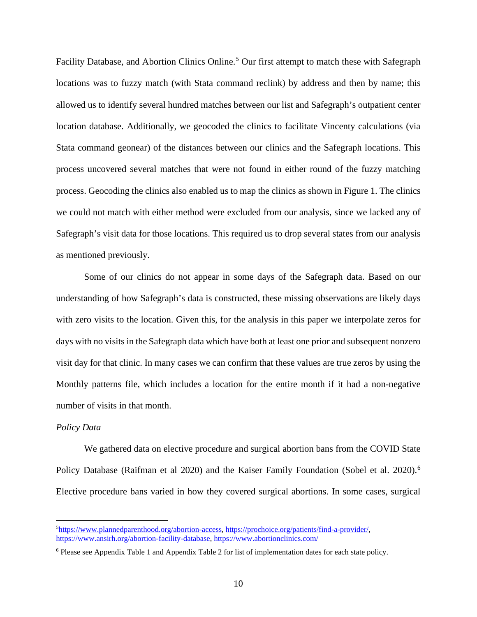Facility Database, and Abortion Clinics Online.<sup>[5](#page-9-0)</sup> Our first attempt to match these with Safegraph locations was to fuzzy match (with Stata command reclink) by address and then by name; this allowed us to identify several hundred matches between our list and Safegraph's outpatient center location database. Additionally, we geocoded the clinics to facilitate Vincenty calculations (via Stata command geonear) of the distances between our clinics and the Safegraph locations. This process uncovered several matches that were not found in either round of the fuzzy matching process. Geocoding the clinics also enabled us to map the clinics as shown in Figure 1. The clinics we could not match with either method were excluded from our analysis, since we lacked any of Safegraph's visit data for those locations. This required us to drop several states from our analysis as mentioned previously.

Some of our clinics do not appear in some days of the Safegraph data. Based on our understanding of how Safegraph's data is constructed, these missing observations are likely days with zero visits to the location. Given this, for the analysis in this paper we interpolate zeros for days with no visits in the Safegraph data which have both at least one prior and subsequent nonzero visit day for that clinic. In many cases we can confirm that these values are true zeros by using the Monthly patterns file, which includes a location for the entire month if it had a non-negative number of visits in that month.

#### *Policy Data*

We gathered data on elective procedure and surgical abortion bans from the COVID State Policy Database (Raifman et al 2020) and the Kaiser Family Foundation (Sobel et al. 2020).<sup>[6](#page-9-1)</sup> Elective procedure bans varied in how they covered surgical abortions. In some cases, surgical

<span id="page-9-0"></span><sup>&</sup>lt;sup>5</sup>[https://www.plannedparenthood.org/abortion-access,](https://www.plannedparenthood.org/abortion-access?) [https://prochoice.org/patients/find-a-provider/,](https://prochoice.org/patients/find-a-provider/) [https://www.ansirh.org/abortion-facility-database,](https://www.ansirh.org/abortion-facility-database)<https://www.abortionclinics.com/>

<span id="page-9-1"></span><sup>6</sup> Please see Appendix Table 1 and Appendix Table 2 for list of implementation dates for each state policy.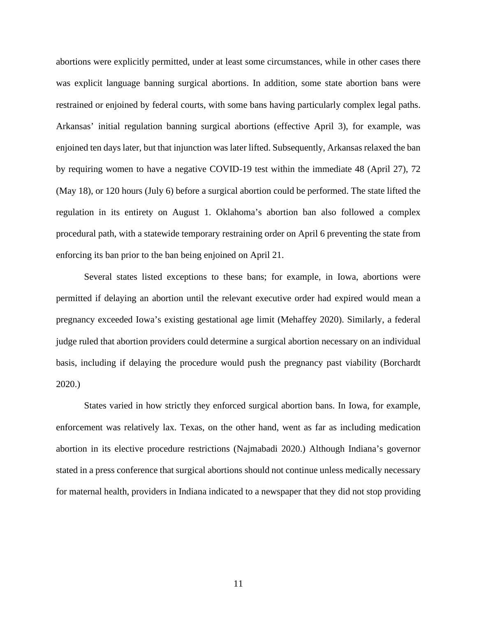abortions were explicitly permitted, under at least some circumstances, while in other cases there was explicit language banning surgical abortions. In addition, some state abortion bans were restrained or enjoined by federal courts, with some bans having particularly complex legal paths. Arkansas' initial regulation banning surgical abortions (effective April 3), for example, was enjoined ten days later, but that injunction was later lifted. Subsequently, Arkansas relaxed the ban by requiring women to have a negative COVID-19 test within the immediate 48 (April 27), 72 (May 18), or 120 hours (July 6) before a surgical abortion could be performed. The state lifted the regulation in its entirety on August 1. Oklahoma's abortion ban also followed a complex procedural path, with a statewide temporary restraining order on April 6 preventing the state from enforcing its ban prior to the ban being enjoined on April 21.

Several states listed exceptions to these bans; for example, in Iowa, abortions were permitted if delaying an abortion until the relevant executive order had expired would mean a pregnancy exceeded Iowa's existing gestational age limit (Mehaffey 2020). Similarly, a federal judge ruled that abortion providers could determine a surgical abortion necessary on an individual basis, including if delaying the procedure would push the pregnancy past viability (Borchardt 2020.)

States varied in how strictly they enforced surgical abortion bans. In Iowa, for example, enforcement was relatively lax. Texas, on the other hand, went as far as including medication abortion in its elective procedure restrictions (Najmabadi 2020.) Although Indiana's governor stated in a press conference that surgical abortions should not continue unless medically necessary for maternal health, providers in Indiana indicated to a newspaper that they did not stop providing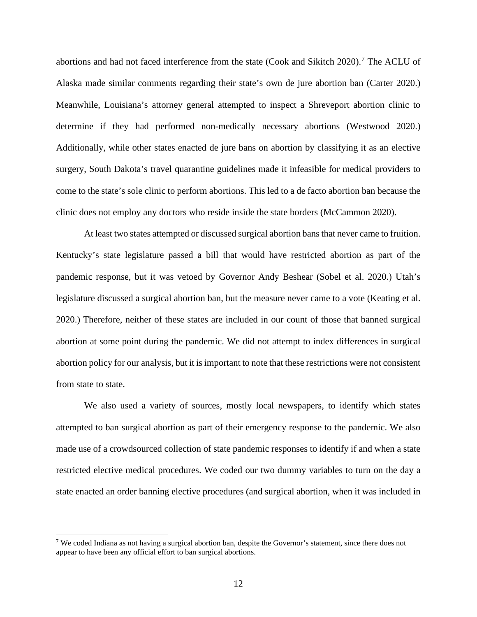abortions and had not faced interference from the state (Cook and Sikitch 2020). [7](#page-11-0) The ACLU of Alaska made similar comments regarding their state's own de jure abortion ban (Carter 2020.) Meanwhile, Louisiana's attorney general attempted to inspect a Shreveport abortion clinic to determine if they had performed non-medically necessary abortions (Westwood 2020.) Additionally, while other states enacted de jure bans on abortion by classifying it as an elective surgery, South Dakota's travel quarantine guidelines made it infeasible for medical providers to come to the state's sole clinic to perform abortions. This led to a de facto abortion ban because the clinic does not employ any doctors who reside inside the state borders (McCammon 2020).

At least two states attempted or discussed surgical abortion bans that never came to fruition. Kentucky's state legislature passed a bill that would have restricted abortion as part of the pandemic response, but it was vetoed by Governor Andy Beshear (Sobel et al. 2020.) Utah's legislature discussed a surgical abortion ban, but the measure never came to a vote (Keating et al. 2020.) Therefore, neither of these states are included in our count of those that banned surgical abortion at some point during the pandemic. We did not attempt to index differences in surgical abortion policy for our analysis, but it is important to note that these restrictions were not consistent from state to state.

We also used a variety of sources, mostly local newspapers, to identify which states attempted to ban surgical abortion as part of their emergency response to the pandemic. We also made use of a crowdsourced collection of state pandemic responses to identify if and when a state restricted elective medical procedures. We coded our two dummy variables to turn on the day a state enacted an order banning elective procedures (and surgical abortion, when it was included in

<span id="page-11-0"></span><sup>&</sup>lt;sup>7</sup> We coded Indiana as not having a surgical abortion ban, despite the Governor's statement, since there does not appear to have been any official effort to ban surgical abortions.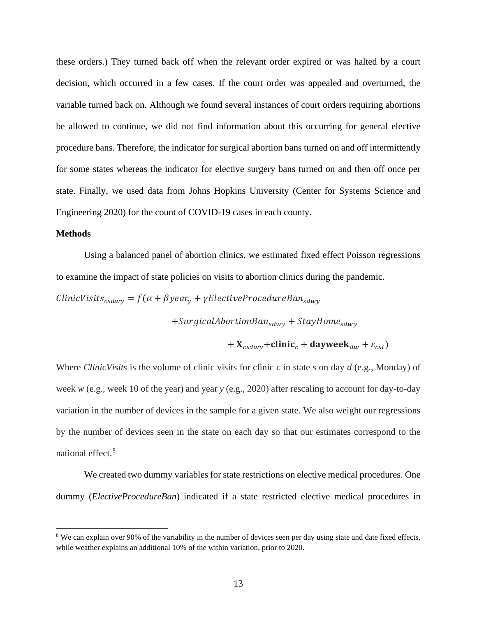these orders.) They turned back off when the relevant order expired or was halted by a court decision, which occurred in a few cases. If the court order was appealed and overturned, the variable turned back on. Although we found several instances of court orders requiring abortions be allowed to continue, we did not find information about this occurring for general elective procedure bans. Therefore, the indicator for surgical abortion bans turned on and off intermittently for some states whereas the indicator for elective surgery bans turned on and then off once per state. Finally, we used data from Johns Hopkins University (Center for Systems Science and Engineering 2020) for the count of COVID-19 cases in each county.

### **Methods**

Using a balanced panel of abortion clinics, we estimated fixed effect Poisson regressions to examine the impact of state policies on visits to abortion clinics during the pandemic.

 $ClinitV is its_{csdwy} = f(\alpha + \beta year_y + \gamma ElectricProceedureBan_{sdwy})$ 

 $+$ SurgicalAbortionBan<sub>sdwy</sub> + StayHome<sub>sdwy</sub>

$$
+X_{csdwy} + \text{clinic}_c + \text{dayweek}_{dw} + \varepsilon_{cst})
$$

Where *ClinicVisits* is the volume of clinic visits for clinic *c* in state *s* on day *d* (e.g., Monday) of week *w* (e.g., week 10 of the year) and year *y* (e.g., 2020) after rescaling to account for day-to-day variation in the number of devices in the sample for a given state. We also weight our regressions by the number of devices seen in the state on each day so that our estimates correspond to the national effect. [8](#page-12-0)

We created two dummy variables for state restrictions on elective medical procedures. One dummy (*ElectiveProcedureBan*) indicated if a state restricted elective medical procedures in

<span id="page-12-0"></span><sup>&</sup>lt;sup>8</sup> We can explain over 90% of the variability in the number of devices seen per day using state and date fixed effects, while weather explains an additional 10% of the within variation, prior to 2020.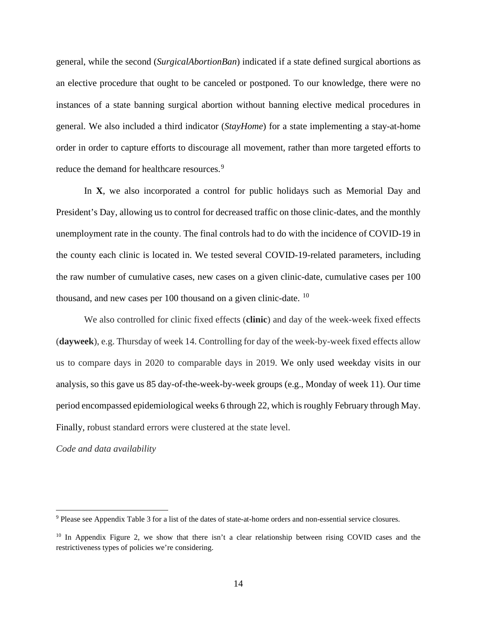general, while the second (*SurgicalAbortionBan*) indicated if a state defined surgical abortions as an elective procedure that ought to be canceled or postponed. To our knowledge, there were no instances of a state banning surgical abortion without banning elective medical procedures in general. We also included a third indicator (*StayHome*) for a state implementing a stay-at-home order in order to capture efforts to discourage all movement, rather than more targeted efforts to reduce the demand for healthcare resources.<sup>[9](#page-13-0)</sup>

In **X**, we also incorporated a control for public holidays such as Memorial Day and President's Day, allowing us to control for decreased traffic on those clinic-dates, and the monthly unemployment rate in the county. The final controls had to do with the incidence of COVID-19 in the county each clinic is located in. We tested several COVID-19-related parameters, including the raw number of cumulative cases, new cases on a given clinic-date, cumulative cases per 100 thousand, and new cases per  $100$  $100$  thousand on a given clinic-date.  $10$ 

We also controlled for clinic fixed effects (**clinic**) and day of the week-week fixed effects (**dayweek**), e.g. Thursday of week 14. Controlling for day of the week-by-week fixed effects allow us to compare days in 2020 to comparable days in 2019. We only used weekday visits in our analysis, so this gave us 85 day-of-the-week-by-week groups (e.g., Monday of week 11). Our time period encompassed epidemiological weeks 6 through 22, which is roughly February through May. Finally, robust standard errors were clustered at the state level.

*Code and data availability* 

<span id="page-13-0"></span><sup>9</sup> Please see Appendix Table 3 for a list of the dates of state-at-home orders and non-essential service closures.

<span id="page-13-1"></span> $10$  In Appendix Figure 2, we show that there isn't a clear relationship between rising COVID cases and the restrictiveness types of policies we're considering.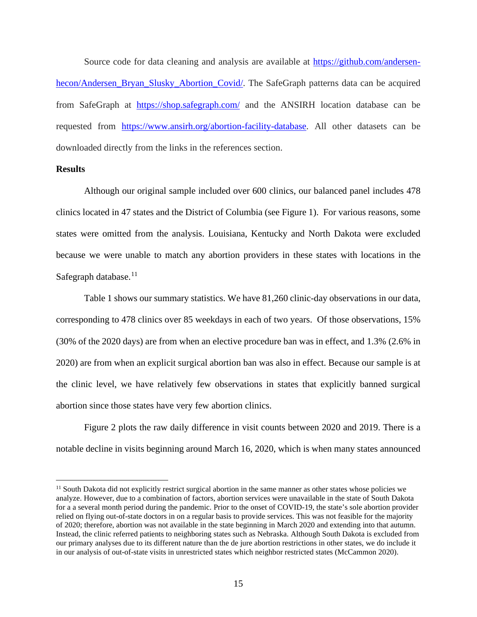Source code for data cleaning and analysis are available at [https://github.com/andersen](https://github.com/andersen-hecon/Andersen_Bryan_Slusky_Abortion_Covid/)[hecon/Andersen\\_Bryan\\_Slusky\\_Abortion\\_Covid/.](https://github.com/andersen-hecon/Andersen_Bryan_Slusky_Abortion_Covid/) The SafeGraph patterns data can be acquired from SafeGraph at <https://shop.safegraph.com/> and the ANSIRH location database can be requested from [https://www.ansirh.org/abortion-facility-database.](https://www.ansirh.org/abortion-facility-database) All other datasets can be downloaded directly from the links in the references section.

### **Results**

Although our original sample included over 600 clinics, our balanced panel includes 478 clinics located in 47 states and the District of Columbia (see Figure 1). For various reasons, some states were omitted from the analysis. Louisiana, Kentucky and North Dakota were excluded because we were unable to match any abortion providers in these states with locations in the Safegraph database. $11$ 

Table 1 shows our summary statistics. We have 81,260 clinic-day observations in our data, corresponding to 478 clinics over 85 weekdays in each of two years. Of those observations, 15% (30% of the 2020 days) are from when an elective procedure ban was in effect, and 1.3% (2.6% in 2020) are from when an explicit surgical abortion ban was also in effect. Because our sample is at the clinic level, we have relatively few observations in states that explicitly banned surgical abortion since those states have very few abortion clinics.

Figure 2 plots the raw daily difference in visit counts between 2020 and 2019. There is a notable decline in visits beginning around March 16, 2020, which is when many states announced

<span id="page-14-0"></span> $11$  South Dakota did not explicitly restrict surgical abortion in the same manner as other states whose policies we analyze. However, due to a combination of factors, abortion services were unavailable in the state of South Dakota for a a several month period during the pandemic. Prior to the onset of COVID-19, the state's sole abortion provider relied on flying out-of-state doctors in on a regular basis to provide services. This was not feasible for the majority of 2020; therefore, abortion was not available in the state beginning in March 2020 and extending into that autumn. Instead, the clinic referred patients to neighboring states such as Nebraska. Although South Dakota is excluded from our primary analyses due to its different nature than the de jure abortion restrictions in other states, we do include it in our analysis of out-of-state visits in unrestricted states which neighbor restricted states (McCammon 2020).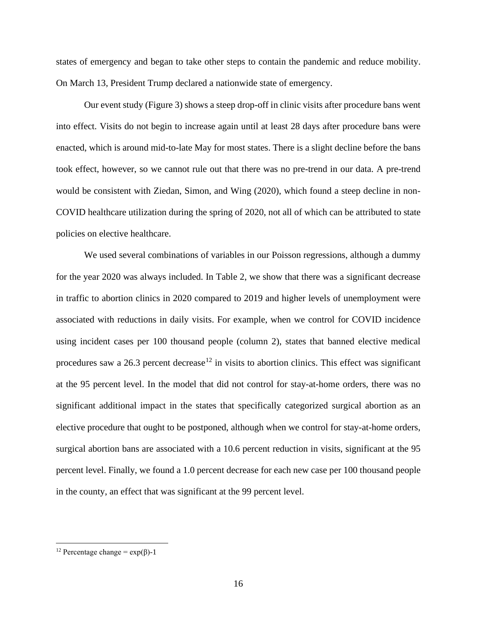states of emergency and began to take other steps to contain the pandemic and reduce mobility. On March 13, President Trump declared a nationwide state of emergency.

Our event study (Figure 3) shows a steep drop-off in clinic visits after procedure bans went into effect. Visits do not begin to increase again until at least 28 days after procedure bans were enacted, which is around mid-to-late May for most states. There is a slight decline before the bans took effect, however, so we cannot rule out that there was no pre-trend in our data. A pre-trend would be consistent with Ziedan, Simon, and Wing (2020), which found a steep decline in non-COVID healthcare utilization during the spring of 2020, not all of which can be attributed to state policies on elective healthcare.

We used several combinations of variables in our Poisson regressions, although a dummy for the year 2020 was always included. In Table 2, we show that there was a significant decrease in traffic to abortion clinics in 2020 compared to 2019 and higher levels of unemployment were associated with reductions in daily visits. For example, when we control for COVID incidence using incident cases per 100 thousand people (column 2), states that banned elective medical procedures saw a 26.3 percent decrease<sup>[12](#page-15-0)</sup> in visits to abortion clinics. This effect was significant at the 95 percent level. In the model that did not control for stay-at-home orders, there was no significant additional impact in the states that specifically categorized surgical abortion as an elective procedure that ought to be postponed, although when we control for stay-at-home orders, surgical abortion bans are associated with a 10.6 percent reduction in visits, significant at the 95 percent level. Finally, we found a 1.0 percent decrease for each new case per 100 thousand people in the county, an effect that was significant at the 99 percent level.

<span id="page-15-0"></span><sup>&</sup>lt;sup>12</sup> Percentage change =  $exp(\beta)$ -1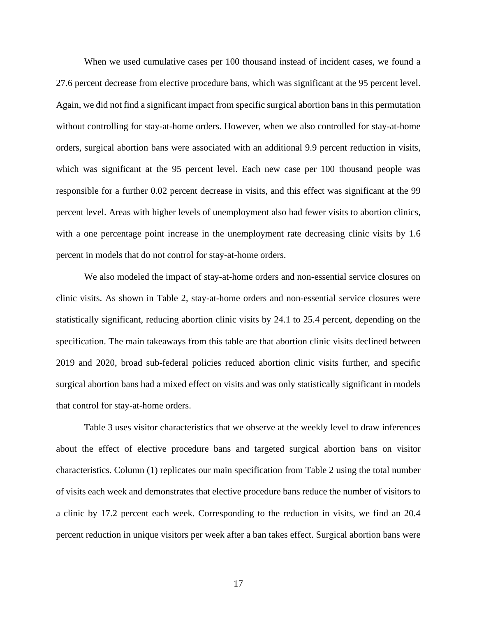When we used cumulative cases per 100 thousand instead of incident cases, we found a 27.6 percent decrease from elective procedure bans, which was significant at the 95 percent level. Again, we did not find a significant impact from specific surgical abortion bans in this permutation without controlling for stay-at-home orders. However, when we also controlled for stay-at-home orders, surgical abortion bans were associated with an additional 9.9 percent reduction in visits, which was significant at the 95 percent level. Each new case per 100 thousand people was responsible for a further 0.02 percent decrease in visits, and this effect was significant at the 99 percent level. Areas with higher levels of unemployment also had fewer visits to abortion clinics, with a one percentage point increase in the unemployment rate decreasing clinic visits by 1.6 percent in models that do not control for stay-at-home orders.

We also modeled the impact of stay-at-home orders and non-essential service closures on clinic visits. As shown in Table 2, stay-at-home orders and non-essential service closures were statistically significant, reducing abortion clinic visits by 24.1 to 25.4 percent, depending on the specification. The main takeaways from this table are that abortion clinic visits declined between 2019 and 2020, broad sub-federal policies reduced abortion clinic visits further, and specific surgical abortion bans had a mixed effect on visits and was only statistically significant in models that control for stay-at-home orders.

Table 3 uses visitor characteristics that we observe at the weekly level to draw inferences about the effect of elective procedure bans and targeted surgical abortion bans on visitor characteristics. Column (1) replicates our main specification from Table 2 using the total number of visits each week and demonstrates that elective procedure bans reduce the number of visitors to a clinic by 17.2 percent each week. Corresponding to the reduction in visits, we find an 20.4 percent reduction in unique visitors per week after a ban takes effect. Surgical abortion bans were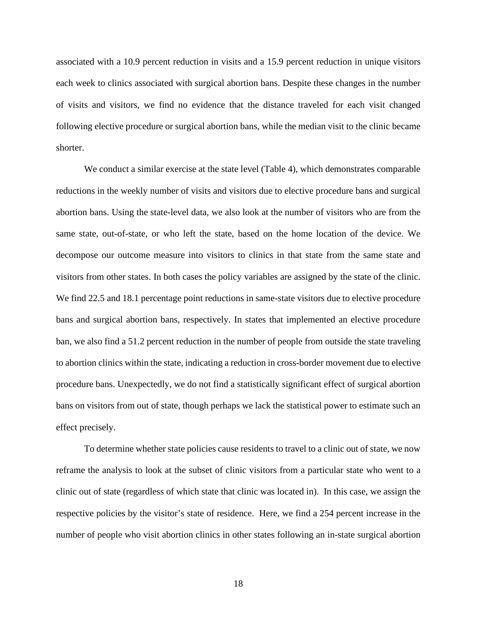associated with a 10.9 percent reduction in visits and a 15.9 percent reduction in unique visitors each week to clinics associated with surgical abortion bans. Despite these changes in the number of visits and visitors, we find no evidence that the distance traveled for each visit changed following elective procedure or surgical abortion bans, while the median visit to the clinic became shorter.

We conduct a similar exercise at the state level (Table 4), which demonstrates comparable reductions in the weekly number of visits and visitors due to elective procedure bans and surgical abortion bans. Using the state-level data, we also look at the number of visitors who are from the same state, out-of-state, or who left the state, based on the home location of the device. We decompose our outcome measure into visitors to clinics in that state from the same state and visitors from other states. In both cases the policy variables are assigned by the state of the clinic. We find 22.5 and 18.1 percentage point reductions in same-state visitors due to elective procedure bans and surgical abortion bans, respectively. In states that implemented an elective procedure ban, we also find a 51.2 percent reduction in the number of people from outside the state traveling to abortion clinics within the state, indicating a reduction in cross-border movement due to elective procedure bans. Unexpectedly, we do not find a statistically significant effect of surgical abortion bans on visitors from out of state, though perhaps we lack the statistical power to estimate such an effect precisely.

To determine whether state policies cause residents to travel to a clinic out of state, we now reframe the analysis to look at the subset of clinic visitors from a particular state who went to a clinic out of state (regardless of which state that clinic was located in). In this case, we assign the respective policies by the visitor's state of residence. Here, we find a 254 percent increase in the number of people who visit abortion clinics in other states following an in-state surgical abortion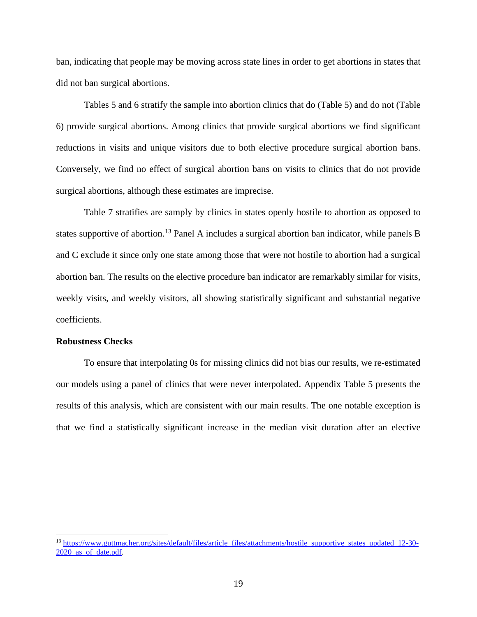ban, indicating that people may be moving across state lines in order to get abortions in states that did not ban surgical abortions.

Tables 5 and 6 stratify the sample into abortion clinics that do (Table 5) and do not (Table 6) provide surgical abortions. Among clinics that provide surgical abortions we find significant reductions in visits and unique visitors due to both elective procedure surgical abortion bans. Conversely, we find no effect of surgical abortion bans on visits to clinics that do not provide surgical abortions, although these estimates are imprecise.

Table 7 stratifies are samply by clinics in states openly hostile to abortion as opposed to states supportive of abortion.<sup>[13](#page-18-0)</sup> Panel A includes a surgical abortion ban indicator, while panels B and C exclude it since only one state among those that were not hostile to abortion had a surgical abortion ban. The results on the elective procedure ban indicator are remarkably similar for visits, weekly visits, and weekly visitors, all showing statistically significant and substantial negative coefficients.

### **Robustness Checks**

To ensure that interpolating 0s for missing clinics did not bias our results, we re-estimated our models using a panel of clinics that were never interpolated. Appendix Table 5 presents the results of this analysis, which are consistent with our main results. The one notable exception is that we find a statistically significant increase in the median visit duration after an elective

<span id="page-18-0"></span><sup>&</sup>lt;sup>13</sup> [https://www.guttmacher.org/sites/default/files/article\\_files/attachments/hostile\\_supportive\\_states\\_updated\\_12-30-](https://www.guttmacher.org/sites/default/files/article_files/attachments/hostile_supportive_states_updated_12-30-2020_as_of_date.pdf) 2020 as of date.pdf.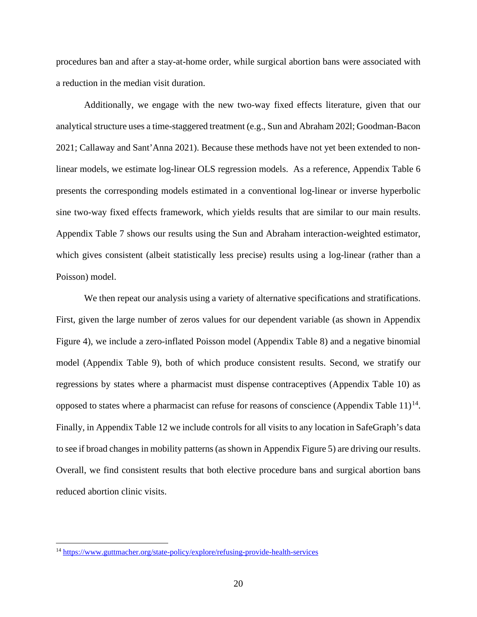procedures ban and after a stay-at-home order, while surgical abortion bans were associated with a reduction in the median visit duration.

Additionally, we engage with the new two-way fixed effects literature, given that our analytical structure uses a time-staggered treatment (e.g., Sun and Abraham 202l; Goodman-Bacon 2021; Callaway and Sant'Anna 2021). Because these methods have not yet been extended to nonlinear models, we estimate log-linear OLS regression models. As a reference, Appendix Table 6 presents the corresponding models estimated in a conventional log-linear or inverse hyperbolic sine two-way fixed effects framework, which yields results that are similar to our main results. Appendix Table 7 shows our results using the Sun and Abraham interaction-weighted estimator, which gives consistent (albeit statistically less precise) results using a log-linear (rather than a Poisson) model.

We then repeat our analysis using a variety of alternative specifications and stratifications. First, given the large number of zeros values for our dependent variable (as shown in Appendix Figure 4), we include a zero-inflated Poisson model (Appendix Table 8) and a negative binomial model (Appendix Table 9), both of which produce consistent results. Second, we stratify our regressions by states where a pharmacist must dispense contraceptives (Appendix Table 10) as opposed to states where a pharmacist can refuse for reasons of conscience (Appendix Table  $11$ )<sup>[14](#page-19-0)</sup>. Finally, in Appendix Table 12 we include controls for all visits to any location in SafeGraph's data to see if broad changes in mobility patterns (as shown in Appendix Figure 5) are driving our results. Overall, we find consistent results that both elective procedure bans and surgical abortion bans reduced abortion clinic visits.

<span id="page-19-0"></span><sup>14</sup> <https://www.guttmacher.org/state-policy/explore/refusing-provide-health-services>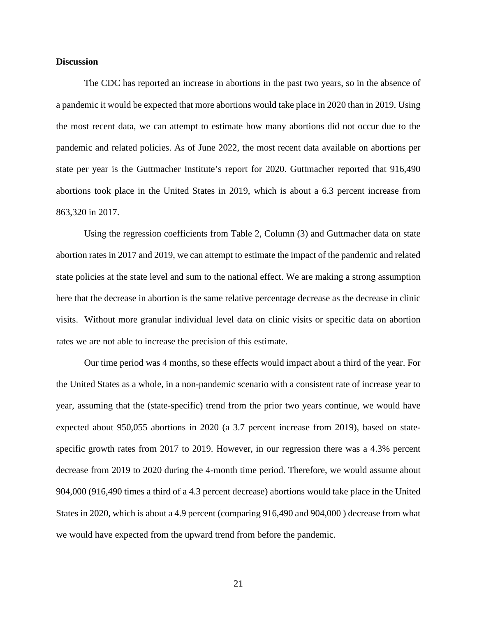### **Discussion**

The CDC has reported an increase in abortions in the past two years, so in the absence of a pandemic it would be expected that more abortions would take place in 2020 than in 2019. Using the most recent data, we can attempt to estimate how many abortions did not occur due to the pandemic and related policies. As of June 2022, the most recent data available on abortions per state per year is the Guttmacher Institute's report for 2020. Guttmacher reported that 916,490 abortions took place in the United States in 2019, which is about a 6.3 percent increase from 863,320 in 2017.

Using the regression coefficients from Table 2, Column (3) and Guttmacher data on state abortion rates in 2017 and 2019, we can attempt to estimate the impact of the pandemic and related state policies at the state level and sum to the national effect. We are making a strong assumption here that the decrease in abortion is the same relative percentage decrease as the decrease in clinic visits. Without more granular individual level data on clinic visits or specific data on abortion rates we are not able to increase the precision of this estimate.

Our time period was 4 months, so these effects would impact about a third of the year. For the United States as a whole, in a non-pandemic scenario with a consistent rate of increase year to year, assuming that the (state-specific) trend from the prior two years continue, we would have expected about 950,055 abortions in 2020 (a 3.7 percent increase from 2019), based on statespecific growth rates from 2017 to 2019. However, in our regression there was a 4.3% percent decrease from 2019 to 2020 during the 4-month time period. Therefore, we would assume about 904,000 (916,490 times a third of a 4.3 percent decrease) abortions would take place in the United States in 2020, which is about a 4.9 percent (comparing 916,490 and 904,000 ) decrease from what we would have expected from the upward trend from before the pandemic.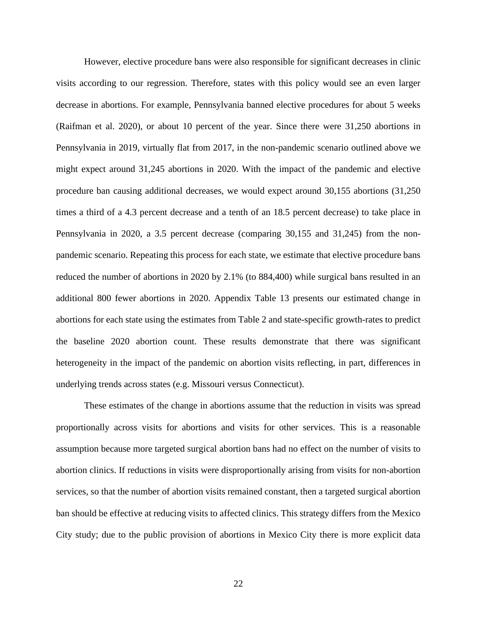However, elective procedure bans were also responsible for significant decreases in clinic visits according to our regression. Therefore, states with this policy would see an even larger decrease in abortions. For example, Pennsylvania banned elective procedures for about 5 weeks (Raifman et al. 2020), or about 10 percent of the year. Since there were 31,250 abortions in Pennsylvania in 2019, virtually flat from 2017, in the non-pandemic scenario outlined above we might expect around 31,245 abortions in 2020. With the impact of the pandemic and elective procedure ban causing additional decreases, we would expect around 30,155 abortions (31,250 times a third of a 4.3 percent decrease and a tenth of an 18.5 percent decrease) to take place in Pennsylvania in 2020, a 3.5 percent decrease (comparing 30,155 and 31,245) from the nonpandemic scenario. Repeating this process for each state, we estimate that elective procedure bans reduced the number of abortions in 2020 by 2.1% (to 884,400) while surgical bans resulted in an additional 800 fewer abortions in 2020. Appendix Table 13 presents our estimated change in abortions for each state using the estimates from Table 2 and state-specific growth-rates to predict the baseline 2020 abortion count. These results demonstrate that there was significant heterogeneity in the impact of the pandemic on abortion visits reflecting, in part, differences in underlying trends across states (e.g. Missouri versus Connecticut).

These estimates of the change in abortions assume that the reduction in visits was spread proportionally across visits for abortions and visits for other services. This is a reasonable assumption because more targeted surgical abortion bans had no effect on the number of visits to abortion clinics. If reductions in visits were disproportionally arising from visits for non-abortion services, so that the number of abortion visits remained constant, then a targeted surgical abortion ban should be effective at reducing visits to affected clinics. This strategy differs from the Mexico City study; due to the public provision of abortions in Mexico City there is more explicit data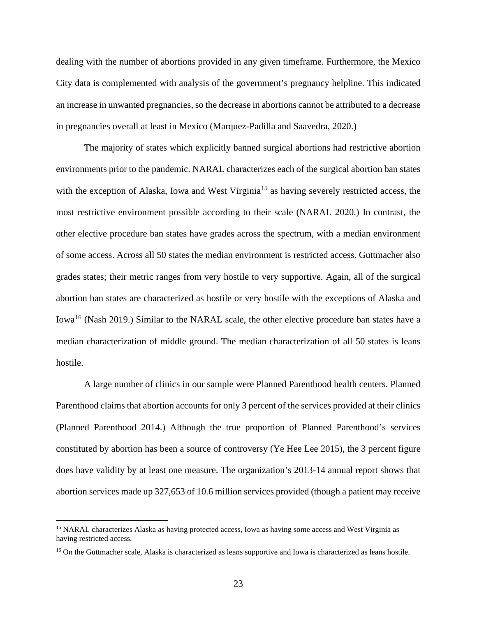dealing with the number of abortions provided in any given timeframe. Furthermore, the Mexico City data is complemented with analysis of the government's pregnancy helpline. This indicated an increase in unwanted pregnancies, so the decrease in abortions cannot be attributed to a decrease in pregnancies overall at least in Mexico (Marquez-Padilla and Saavedra, 2020.)

The majority of states which explicitly banned surgical abortions had restrictive abortion environments prior to the pandemic. NARAL characterizes each of the surgical abortion ban states with the exception of Alaska, Iowa and West Virginia<sup>[15](#page-22-0)</sup> as having severely restricted access, the most restrictive environment possible according to their scale (NARAL 2020.) In contrast, the other elective procedure ban states have grades across the spectrum, with a median environment of some access. Across all 50 states the median environment is restricted access. Guttmacher also grades states; their metric ranges from very hostile to very supportive. Again, all of the surgical abortion ban states are characterized as hostile or very hostile with the exceptions of Alaska and Iowa<sup>16</sup> (Nash 2019.) Similar to the NARAL scale, the other elective procedure ban states have a median characterization of middle ground. The median characterization of all 50 states is leans hostile.

A large number of clinics in our sample were Planned Parenthood health centers. Planned Parenthood claims that abortion accounts for only 3 percent of the services provided at their clinics (Planned Parenthood 2014.) Although the true proportion of Planned Parenthood's services constituted by abortion has been a source of controversy (Ye Hee Lee 2015), the 3 percent figure does have validity by at least one measure. The organization's 2013-14 annual report shows that abortion services made up 327,653 of 10.6 million services provided (though a patient may receive

<span id="page-22-0"></span><sup>&</sup>lt;sup>15</sup> NARAL characterizes Alaska as having protected access, Iowa as having some access and West Virginia as having restricted access.

<span id="page-22-1"></span><sup>&</sup>lt;sup>16</sup> On the Guttmacher scale, Alaska is characterized as leans supportive and Iowa is characterized as leans hostile.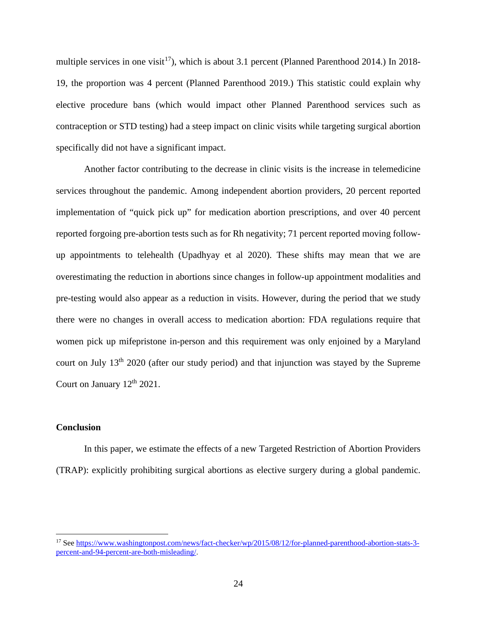multiple services in one visit<sup>17</sup>), which is about 3.1 percent (Planned Parenthood 2014.) In 2018-19, the proportion was 4 percent (Planned Parenthood 2019.) This statistic could explain why elective procedure bans (which would impact other Planned Parenthood services such as contraception or STD testing) had a steep impact on clinic visits while targeting surgical abortion specifically did not have a significant impact.

Another factor contributing to the decrease in clinic visits is the increase in telemedicine services throughout the pandemic. Among independent abortion providers, 20 percent reported implementation of "quick pick up" for medication abortion prescriptions, and over 40 percent reported forgoing pre-abortion tests such as for Rh negativity; 71 percent reported moving followup appointments to telehealth (Upadhyay et al 2020). These shifts may mean that we are overestimating the reduction in abortions since changes in follow-up appointment modalities and pre-testing would also appear as a reduction in visits. However, during the period that we study there were no changes in overall access to medication abortion: FDA regulations require that women pick up mifepristone in-person and this requirement was only enjoined by a Maryland court on July 13<sup>th</sup> 2020 (after our study period) and that injunction was stayed by the Supreme Court on January  $12<sup>th</sup> 2021$ .

### **Conclusion**

In this paper, we estimate the effects of a new Targeted Restriction of Abortion Providers (TRAP): explicitly prohibiting surgical abortions as elective surgery during a global pandemic.

<span id="page-23-0"></span><sup>17</sup> See [https://www.washingtonpost.com/news/fact-checker/wp/2015/08/12/for-planned-parenthood-abortion-stats-3](https://www.washingtonpost.com/news/fact-checker/wp/2015/08/12/for-planned-parenthood-abortion-stats-3-percent-and-94-percent-are-both-misleading/) [percent-and-94-percent-are-both-misleading/.](https://www.washingtonpost.com/news/fact-checker/wp/2015/08/12/for-planned-parenthood-abortion-stats-3-percent-and-94-percent-are-both-misleading/)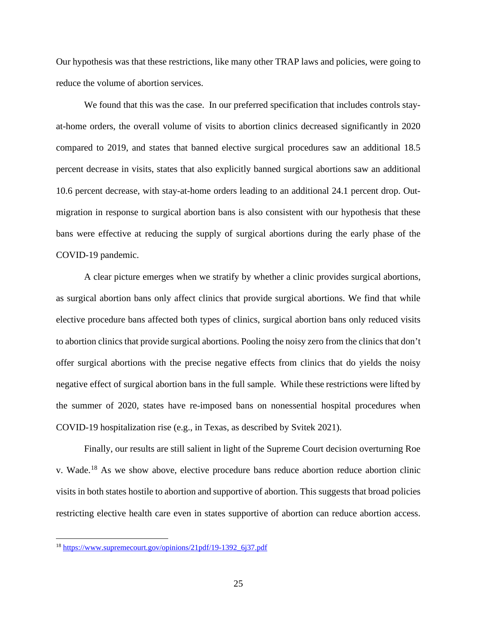Our hypothesis was that these restrictions, like many other TRAP laws and policies, were going to reduce the volume of abortion services.

 We found that this was the case. In our preferred specification that includes controls stayat-home orders, the overall volume of visits to abortion clinics decreased significantly in 2020 compared to 2019, and states that banned elective surgical procedures saw an additional 18.5 percent decrease in visits, states that also explicitly banned surgical abortions saw an additional 10.6 percent decrease, with stay-at-home orders leading to an additional 24.1 percent drop. Outmigration in response to surgical abortion bans is also consistent with our hypothesis that these bans were effective at reducing the supply of surgical abortions during the early phase of the COVID-19 pandemic.

A clear picture emerges when we stratify by whether a clinic provides surgical abortions, as surgical abortion bans only affect clinics that provide surgical abortions. We find that while elective procedure bans affected both types of clinics, surgical abortion bans only reduced visits to abortion clinics that provide surgical abortions. Pooling the noisy zero from the clinics that don't offer surgical abortions with the precise negative effects from clinics that do yields the noisy negative effect of surgical abortion bans in the full sample. While these restrictions were lifted by the summer of 2020, states have re-imposed bans on nonessential hospital procedures when COVID-19 hospitalization rise (e.g., in Texas, as described by Svitek 2021).

Finally, our results are still salient in light of the Supreme Court decision overturning Roe v. Wade.[18](#page-24-0) As we show above, elective procedure bans reduce abortion reduce abortion clinic visits in both states hostile to abortion and supportive of abortion. This suggests that broad policies restricting elective health care even in states supportive of abortion can reduce abortion access.

<span id="page-24-0"></span><sup>18</sup> [https://www.supremecourt.gov/opinions/21pdf/19-1392\\_6j37.pdf](https://www.supremecourt.gov/opinions/21pdf/19-1392_6j37.pdf)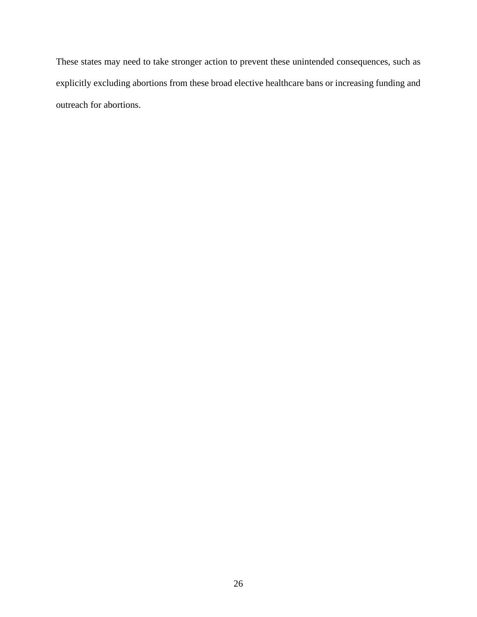These states may need to take stronger action to prevent these unintended consequences, such as explicitly excluding abortions from these broad elective healthcare bans or increasing funding and outreach for abortions.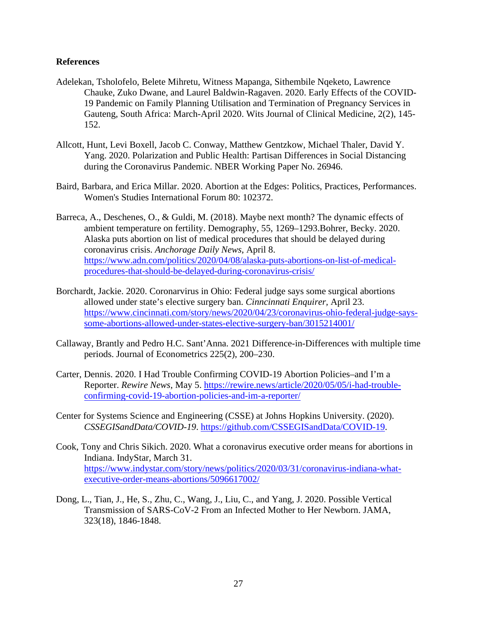### **References**

- Adelekan, Tsholofelo, Belete Mihretu, Witness Mapanga, Sithembile Nqeketo, Lawrence Chauke, Zuko Dwane, and Laurel Baldwin-Ragaven. 2020. Early Effects of the COVID-19 Pandemic on Family Planning Utilisation and Termination of Pregnancy Services in Gauteng, South Africa: March-April 2020. Wits Journal of Clinical Medicine, 2(2), 145- 152.
- Allcott, Hunt, Levi Boxell, Jacob C. Conway, Matthew Gentzkow, Michael Thaler, David Y. Yang. 2020. Polarization and Public Health: Partisan Differences in Social Distancing during the Coronavirus Pandemic. NBER Working Paper No. 26946.
- Baird, Barbara, and Erica Millar. 2020. Abortion at the Edges: Politics, Practices, Performances. Women's Studies International Forum 80: 102372.
- Barreca, A., Deschenes, O., & Guldi, M. (2018). Maybe next month? The dynamic effects of ambient temperature on fertility. Demography, 55, 1269–1293.Bohrer, Becky. 2020. Alaska puts abortion on list of medical procedures that should be delayed during coronavirus crisis. *Anchorage Daily News*, April 8. [https://www.adn.com/politics/2020/04/08/alaska-puts-abortions-on-list-of-medical](https://www.adn.com/politics/2020/04/08/alaska-puts-abortions-on-list-of-medical-procedures-that-should-be-delayed-during-coronavirus-crisis/)[procedures-that-should-be-delayed-during-coronavirus-crisis/](https://www.adn.com/politics/2020/04/08/alaska-puts-abortions-on-list-of-medical-procedures-that-should-be-delayed-during-coronavirus-crisis/)
- Borchardt, Jackie. 2020. Coronarvirus in Ohio: Federal judge says some surgical abortions allowed under state's elective surgery ban. *Cinncinnati Enquirer,* April 23. [https://www.cincinnati.com/story/news/2020/04/23/coronavirus-ohio-federal-judge-says](https://www.cincinnati.com/story/news/2020/04/23/coronavirus-ohio-federal-judge-says-some-abortions-allowed-under-states-elective-surgery-ban/3015214001/)[some-abortions-allowed-under-states-elective-surgery-ban/3015214001/](https://www.cincinnati.com/story/news/2020/04/23/coronavirus-ohio-federal-judge-says-some-abortions-allowed-under-states-elective-surgery-ban/3015214001/)
- Callaway, Brantly and Pedro H.C. Sant'Anna. 2021 Difference-in-Differences with multiple time periods. Journal of Econometrics 225(2), 200–230.
- Carter, Dennis. 2020. I Had Trouble Confirming COVID-19 Abortion Policies–and I'm a Reporter. *Rewire News*, May 5. [https://rewire.news/article/2020/05/05/i-had-trouble](https://rewire.news/article/2020/05/05/i-had-trouble-confirming-covid-19-abortion-policies-and-im-a-reporter/)[confirming-covid-19-abortion-policies-and-im-a-reporter/](https://rewire.news/article/2020/05/05/i-had-trouble-confirming-covid-19-abortion-policies-and-im-a-reporter/)
- Center for Systems Science and Engineering (CSSE) at Johns Hopkins University. (2020). *CSSEGISandData/COVID-19*. [https://github.com/CSSEGISandData/COVID-19.](https://github.com/CSSEGISandData/COVID-19)
- Cook, Tony and Chris Sikich. 2020. What a coronavirus executive order means for abortions in Indiana. IndyStar, March 31. [https://www.indystar.com/story/news/politics/2020/03/31/coronavirus-indiana-what](https://www.indystar.com/story/news/politics/2020/03/31/coronavirus-indiana-what-executive-order-means-abortions/5096617002/)[executive-order-means-abortions/5096617002/](https://www.indystar.com/story/news/politics/2020/03/31/coronavirus-indiana-what-executive-order-means-abortions/5096617002/)
- Dong, L., Tian, J., He, S., Zhu, C., Wang, J., Liu, C., and Yang, J. 2020. Possible Vertical Transmission of SARS-CoV-2 From an Infected Mother to Her Newborn. JAMA, 323(18), 1846-1848.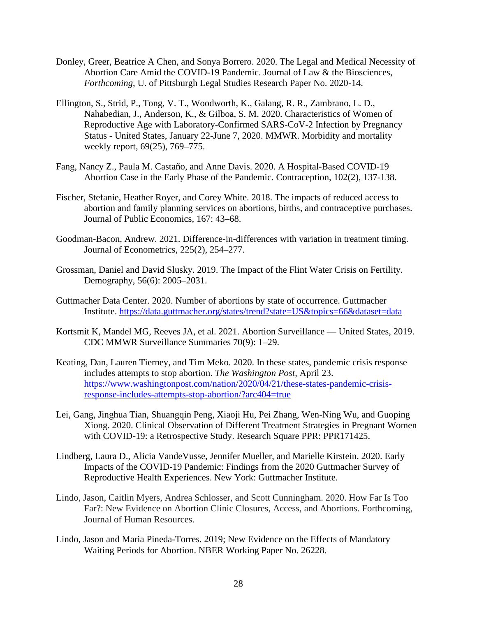- Donley, Greer, Beatrice A Chen, and Sonya Borrero. 2020. The Legal and Medical Necessity of Abortion Care Amid the COVID-19 Pandemic. Journal of Law & the Biosciences, *Forthcoming*, U. of Pittsburgh Legal Studies Research Paper No. 2020-14.
- Ellington, S., Strid, P., Tong, V. T., Woodworth, K., Galang, R. R., Zambrano, L. D., Nahabedian, J., Anderson, K., & Gilboa, S. M. 2020. Characteristics of Women of Reproductive Age with Laboratory-Confirmed SARS-CoV-2 Infection by Pregnancy Status - United States, January 22-June 7, 2020. MMWR. Morbidity and mortality weekly report, 69(25), 769–775.
- Fang, Nancy Z., Paula M. Castaño, and Anne Davis. 2020. A Hospital-Based COVID-19 Abortion Case in the Early Phase of the Pandemic. Contraception, 102(2), 137-138.
- Fischer, Stefanie, Heather Royer, and Corey White. 2018. The impacts of reduced access to abortion and family planning services on abortions, births, and contraceptive purchases. Journal of Public Economics, 167: 43–68.
- Goodman-Bacon, Andrew. 2021. Difference-in-differences with variation in treatment timing. Journal of Econometrics, 225(2), 254–277.
- Grossman, Daniel and David Slusky. 2019. The Impact of the Flint Water Crisis on Fertility. Demography, 56(6): 2005–2031.
- Guttmacher Data Center. 2020. Number of abortions by state of occurrence. Guttmacher Institute.<https://data.guttmacher.org/states/trend?state=US&topics=66&dataset=data>
- Kortsmit K, Mandel MG, Reeves JA, et al. 2021. Abortion Surveillance United States, 2019. CDC MMWR Surveillance Summaries 70(9): 1–29.
- Keating, Dan, Lauren Tierney, and Tim Meko. 2020. In these states, pandemic crisis response includes attempts to stop abortion. *The Washington Post,* April 23. [https://www.washingtonpost.com/nation/2020/04/21/these-states-pandemic-crisis](https://www.washingtonpost.com/nation/2020/04/21/these-states-pandemic-crisis-response-includes-attempts-stop-abortion/?arc404=true)[response-includes-attempts-stop-abortion/?arc404=true](https://www.washingtonpost.com/nation/2020/04/21/these-states-pandemic-crisis-response-includes-attempts-stop-abortion/?arc404=true)
- Lei, Gang, Jinghua Tian, Shuangqin Peng, Xiaoji Hu, Pei Zhang, Wen-Ning Wu, and Guoping Xiong. 2020. Clinical Observation of Different Treatment Strategies in Pregnant Women with COVID-19: a Retrospective Study. Research Square PPR: PPR171425.
- Lindberg, Laura D., Alicia VandeVusse, Jennifer Mueller, and Marielle Kirstein. 2020. Early Impacts of the COVID-19 Pandemic: Findings from the 2020 Guttmacher Survey of Reproductive Health Experiences. New York: Guttmacher Institute.
- Lindo, Jason, Caitlin Myers, Andrea Schlosser, and Scott Cunningham. 2020. How Far Is Too Far?: New Evidence on Abortion Clinic Closures, Access, and Abortions. Forthcoming, Journal of Human Resources.
- Lindo, Jason and Maria Pineda-Torres. 2019; New Evidence on the Effects of Mandatory Waiting Periods for Abortion. NBER Working Paper No. 26228.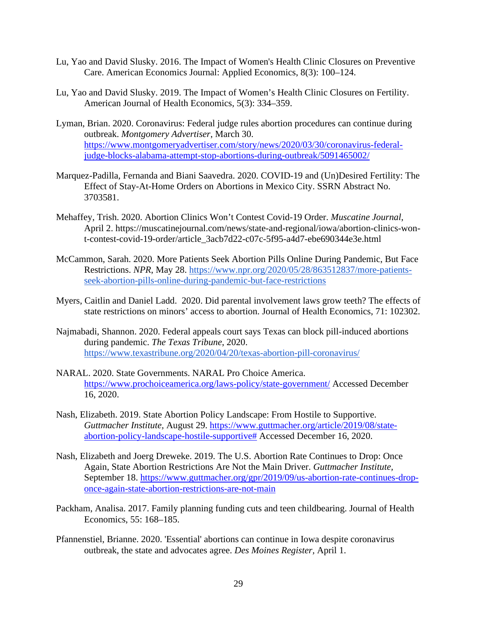- Lu, Yao and David Slusky. 2016. The Impact of Women's Health Clinic Closures on Preventive Care. American Economics Journal: Applied Economics, 8(3): 100–124.
- Lu, Yao and David Slusky. 2019. The Impact of Women's Health Clinic Closures on Fertility. American Journal of Health Economics, 5(3): 334–359.
- Lyman, Brian. 2020. Coronavirus: Federal judge rules abortion procedures can continue during outbreak. *Montgomery Advertiser*, March 30. [https://www.montgomeryadvertiser.com/story/news/2020/03/30/coronavirus-federal](https://www.montgomeryadvertiser.com/story/news/2020/03/30/coronavirus-federal-judge-blocks-alabama-attempt-stop-abortions-during-outbreak/5091465002/)[judge-blocks-alabama-attempt-stop-abortions-during-outbreak/5091465002/](https://www.montgomeryadvertiser.com/story/news/2020/03/30/coronavirus-federal-judge-blocks-alabama-attempt-stop-abortions-during-outbreak/5091465002/)
- Marquez-Padilla, Fernanda and Biani Saavedra. 2020. COVID-19 and (Un)Desired Fertility: The Effect of Stay-At-Home Orders on Abortions in Mexico City. SSRN Abstract No. 3703581.
- Mehaffey, Trish. 2020. Abortion Clinics Won't Contest Covid-19 Order. *Muscatine Journal*, April 2. https://muscatinejournal.com/news/state-and-regional/iowa/abortion-clinics-wont-contest-covid-19-order/article\_3acb7d22-c07c-5f95-a4d7-ebe690344e3e.html
- McCammon, Sarah. 2020. More Patients Seek Abortion Pills Online During Pandemic, But Face Restrictions. *NPR*, May 28. [https://www.npr.org/2020/05/28/863512837/more-patients](https://www.npr.org/2020/05/28/863512837/more-patients-seek-abortion-pills-online-during-pandemic-but-face-restrictions)[seek-abortion-pills-online-during-pandemic-but-face-restrictions](https://www.npr.org/2020/05/28/863512837/more-patients-seek-abortion-pills-online-during-pandemic-but-face-restrictions)
- Myers, Caitlin and Daniel Ladd. 2020. Did parental involvement laws grow teeth? The effects of state restrictions on minors' access to abortion. Journal of Health Economics, 71: 102302.
- Najmabadi, Shannon. 2020. Federal appeals court says Texas can block pill-induced abortions during pandemic. *The Texas Tribune*, 2020. <https://www.texastribune.org/2020/04/20/texas-abortion-pill-coronavirus/>
- NARAL. 2020. State Governments. NARAL Pro Choice America. <https://www.prochoiceamerica.org/laws-policy/state-government/> Accessed December 16, 2020.
- Nash, Elizabeth. 2019. State Abortion Policy Landscape: From Hostile to Supportive. *Guttmacher Institute,* August 29. [https://www.guttmacher.org/article/2019/08/state](https://www.guttmacher.org/article/2019/08/state-abortion-policy-landscape-hostile-supportive)[abortion-policy-landscape-hostile-supportive#](https://www.guttmacher.org/article/2019/08/state-abortion-policy-landscape-hostile-supportive) Accessed December 16, 2020.
- Nash, Elizabeth and Joerg Dreweke. 2019. The U.S. Abortion Rate Continues to Drop: Once Again, State Abortion Restrictions Are Not the Main Driver. *Guttmacher Institute,*  September 18. https://www.guttmacher.org/gpr/2019/09/us-abortion-rate-continues-droponce-again-state-abortion-restrictions-are-not-main
- Packham, Analisa. 2017. Family planning funding cuts and teen childbearing. Journal of Health Economics, 55: 168–185.
- Pfannenstiel, Brianne. 2020. 'Essential' abortions can continue in Iowa despite coronavirus outbreak, the state and advocates agree. *Des Moines Register,* April 1.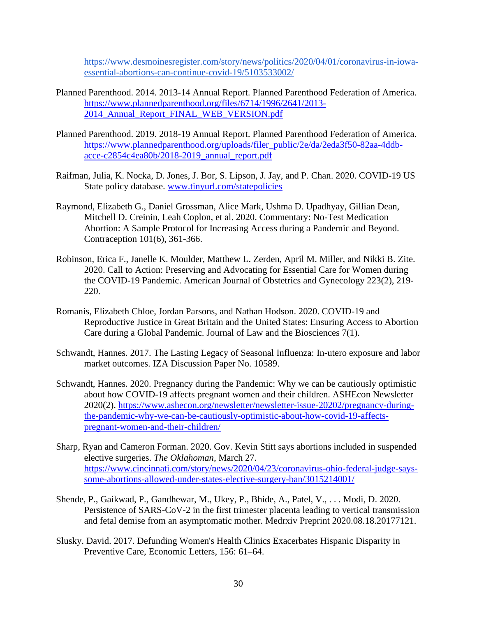[https://www.desmoinesregister.com/story/news/politics/2020/04/01/coronavirus-in-iowa](https://www.desmoinesregister.com/story/news/politics/2020/04/01/coronavirus-in-iowa-essential-abortions-can-continue-covid-19/5103533002/)[essential-abortions-can-continue-covid-19/5103533002/](https://www.desmoinesregister.com/story/news/politics/2020/04/01/coronavirus-in-iowa-essential-abortions-can-continue-covid-19/5103533002/)

- Planned Parenthood. 2014. 2013-14 Annual Report. Planned Parenthood Federation of America. [https://www.plannedparenthood.org/files/6714/1996/2641/2013-](https://www.plannedparenthood.org/files/6714/1996/2641/2013-2014_Annual_Report_FINAL_WEB_VERSION.pdf) 2014 Annual Report FINAL WEB VERSION.pdf
- Planned Parenthood. 2019. 2018-19 Annual Report. Planned Parenthood Federation of America. [https://www.plannedparenthood.org/uploads/filer\\_public/2e/da/2eda3f50-82aa-4ddb](https://www.plannedparenthood.org/uploads/filer_public/2e/da/2eda3f50-82aa-4ddb-acce-c2854c4ea80b/2018-2019_annual_report.pdf)[acce-c2854c4ea80b/2018-2019\\_annual\\_report.pdf](https://www.plannedparenthood.org/uploads/filer_public/2e/da/2eda3f50-82aa-4ddb-acce-c2854c4ea80b/2018-2019_annual_report.pdf)
- Raifman, Julia, K. Nocka, D. Jones, J. Bor, S. Lipson, J. Jay, and P. Chan. 2020. COVID-19 US State policy database. [www.tinyurl.com/statepolicies](https://www.google.com/url?q=http://www.tinyurl.com/statepolicies&sa=D&ust=1600469211622000&usg=AFQjCNEBSiw_SD68EpmZk1ZdjFBT4sAXPA)
- Raymond, Elizabeth G., Daniel Grossman, Alice Mark, Ushma D. Upadhyay, Gillian Dean, Mitchell D. Creinin, Leah Coplon, et al. 2020. Commentary: No-Test Medication Abortion: A Sample Protocol for Increasing Access during a Pandemic and Beyond. Contraception 101(6), 361-366.
- Robinson, Erica F., Janelle K. Moulder, Matthew L. Zerden, April M. Miller, and Nikki B. Zite. 2020. Call to Action: Preserving and Advocating for Essential Care for Women during the COVID-19 Pandemic. American Journal of Obstetrics and Gynecology 223(2), 219- 220.
- Romanis, Elizabeth Chloe, Jordan Parsons, and Nathan Hodson. 2020. COVID-19 and Reproductive Justice in Great Britain and the United States: Ensuring Access to Abortion Care during a Global Pandemic. Journal of Law and the Biosciences 7(1).
- Schwandt, Hannes. 2017. The Lasting Legacy of Seasonal Influenza: In-utero exposure and labor market outcomes. IZA Discussion Paper No. 10589.
- Schwandt, Hannes. 2020. Pregnancy during the Pandemic: Why we can be cautiously optimistic about how COVID-19 affects pregnant women and their children. ASHEcon Newsletter 2020(2). [https://www.ashecon.org/newsletter/newsletter-issue-20202/pregnancy-during](https://www.ashecon.org/newsletter/newsletter-issue-20202/pregnancy-during-the-pandemic-why-we-can-be-cautiously-optimistic-about-how-covid-19-affects-pregnant-women-and-their-children/)[the-pandemic-why-we-can-be-cautiously-optimistic-about-how-covid-19-affects](https://www.ashecon.org/newsletter/newsletter-issue-20202/pregnancy-during-the-pandemic-why-we-can-be-cautiously-optimistic-about-how-covid-19-affects-pregnant-women-and-their-children/)[pregnant-women-and-their-children/](https://www.ashecon.org/newsletter/newsletter-issue-20202/pregnancy-during-the-pandemic-why-we-can-be-cautiously-optimistic-about-how-covid-19-affects-pregnant-women-and-their-children/)
- Sharp, Ryan and Cameron Forman. 2020. Gov. Kevin Stitt says abortions included in suspended elective surgeries. *The Oklahoman,* March 27. [https://www.cincinnati.com/story/news/2020/04/23/coronavirus-ohio-federal-judge-says](https://www.cincinnati.com/story/news/2020/04/23/coronavirus-ohio-federal-judge-says-some-abortions-allowed-under-states-elective-surgery-ban/3015214001/)[some-abortions-allowed-under-states-elective-surgery-ban/3015214001/](https://www.cincinnati.com/story/news/2020/04/23/coronavirus-ohio-federal-judge-says-some-abortions-allowed-under-states-elective-surgery-ban/3015214001/)
- Shende, P., Gaikwad, P., Gandhewar, M., Ukey, P., Bhide, A., Patel, V., . . . Modi, D. 2020. Persistence of SARS-CoV-2 in the first trimester placenta leading to vertical transmission and fetal demise from an asymptomatic mother. Medrxiv Preprint 2020.08.18.20177121.
- Slusky. David. 2017. Defunding Women's Health Clinics Exacerbates Hispanic Disparity in Preventive Care, Economic Letters, 156: 61–64.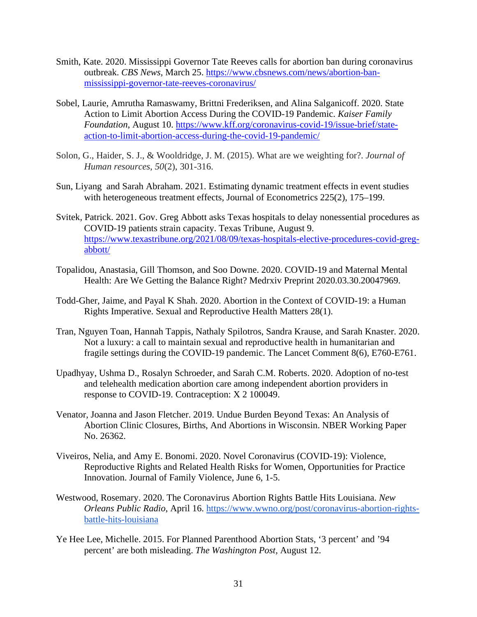- Smith, Kate. 2020. Mississippi Governor Tate Reeves calls for abortion ban during coronavirus outbreak. *CBS News,* March 25. [https://www.cbsnews.com/news/abortion-ban](https://www.cbsnews.com/news/abortion-ban-mississippi-governor-tate-reeves-coronavirus/)[mississippi-governor-tate-reeves-coronavirus/](https://www.cbsnews.com/news/abortion-ban-mississippi-governor-tate-reeves-coronavirus/)
- Sobel, Laurie, Amrutha Ramaswamy, Brittni Frederiksen, and Alina Salganicoff. 2020. State Action to Limit Abortion Access During the COVID-19 Pandemic. *Kaiser Family Foundation*, August 10. [https://www.kff.org/coronavirus-covid-19/issue-brief/state](https://www.kff.org/coronavirus-covid-19/issue-brief/state-action-to-limit-abortion-access-during-the-covid-19-pandemic/)[action-to-limit-abortion-access-during-the-covid-19-pandemic/](https://www.kff.org/coronavirus-covid-19/issue-brief/state-action-to-limit-abortion-access-during-the-covid-19-pandemic/)
- Solon, G., Haider, S. J., & Wooldridge, J. M. (2015). What are we weighting for?. *Journal of Human resources*, *50*(2), 301-316.
- Sun, Liyang and Sarah Abraham. 2021. Estimating dynamic treatment effects in event studies with heterogeneous treatment effects, Journal of Econometrics 225(2), 175–199.
- Svitek, Patrick. 2021. Gov. Greg Abbott asks Texas hospitals to delay nonessential procedures as COVID-19 patients strain capacity. Texas Tribune, August 9. [https://www.texastribune.org/2021/08/09/texas-hospitals-elective-procedures-covid-greg](https://www.texastribune.org/2021/08/09/texas-hospitals-elective-procedures-covid-greg-abbott/)[abbott/](https://www.texastribune.org/2021/08/09/texas-hospitals-elective-procedures-covid-greg-abbott/)
- Topalidou, Anastasia, Gill Thomson, and Soo Downe. 2020. COVID-19 and Maternal Mental Health: Are We Getting the Balance Right? Medrxiv Preprint 2020.03.30.20047969.
- Todd-Gher, Jaime, and Payal K Shah. 2020. Abortion in the Context of COVID-19: a Human Rights Imperative. Sexual and Reproductive Health Matters 28(1).
- Tran, Nguyen Toan, Hannah Tappis, Nathaly Spilotros, Sandra Krause, and Sarah Knaster. 2020. Not a luxury: a call to maintain sexual and reproductive health in humanitarian and fragile settings during the COVID-19 pandemic. The Lancet Comment 8(6), E760-E761.
- Upadhyay, Ushma D., Rosalyn Schroeder, and Sarah C.M. Roberts. 2020. Adoption of no-test and telehealth medication abortion care among independent abortion providers in response to COVID-19. Contraception: X 2 100049.
- Venator, Joanna and Jason Fletcher. 2019. Undue Burden Beyond Texas: An Analysis of Abortion Clinic Closures, Births, And Abortions in Wisconsin. NBER Working Paper No. 26362.
- Viveiros, Nelia, and Amy E. Bonomi. 2020. Novel Coronavirus (COVID-19): Violence, Reproductive Rights and Related Health Risks for Women, Opportunities for Practice Innovation. Journal of Family Violence, June 6, 1-5.
- Westwood, Rosemary. 2020. The Coronavirus Abortion Rights Battle Hits Louisiana. *New Orleans Public Radio*, April 16. [https://www.wwno.org/post/coronavirus-abortion-rights](https://www.wwno.org/post/coronavirus-abortion-rights-battle-hits-louisiana)[battle-hits-louisiana](https://www.wwno.org/post/coronavirus-abortion-rights-battle-hits-louisiana)
- Ye Hee Lee, Michelle. 2015. For Planned Parenthood Abortion Stats, '3 percent' and '94 percent' are both misleading. *The Washington Post,* August 12.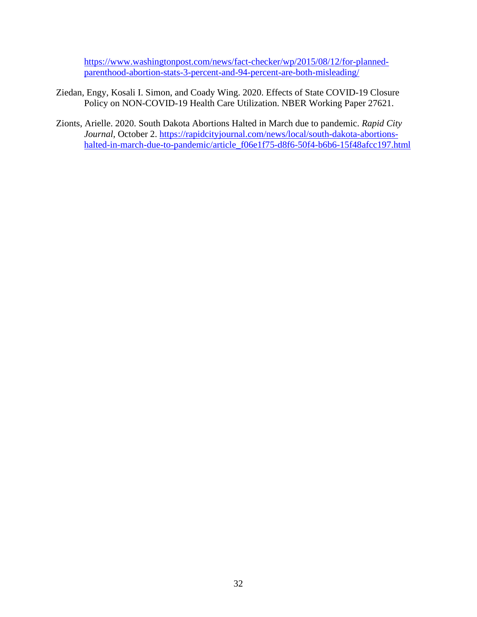[https://www.washingtonpost.com/news/fact-checker/wp/2015/08/12/for-planned](https://www.washingtonpost.com/news/fact-checker/wp/2015/08/12/for-planned-parenthood-abortion-stats-3-percent-and-94-percent-are-both-misleading/)[parenthood-abortion-stats-3-percent-and-94-percent-are-both-misleading/](https://www.washingtonpost.com/news/fact-checker/wp/2015/08/12/for-planned-parenthood-abortion-stats-3-percent-and-94-percent-are-both-misleading/)

- Ziedan, Engy, Kosali I. Simon, and Coady Wing. 2020. Effects of State COVID-19 Closure Policy on NON-COVID-19 Health Care Utilization. NBER Working Paper 27621.
- Zionts, Arielle. 2020. South Dakota Abortions Halted in March due to pandemic. *Rapid City Journal,* October 2. [https://rapidcityjournal.com/news/local/south-dakota-abortions](https://rapidcityjournal.com/news/local/south-dakota-abortions-halted-in-march-due-to-pandemic/article_f06e1f75-d8f6-50f4-b6b6-15f48afcc197.html)[halted-in-march-due-to-pandemic/article\\_f06e1f75-d8f6-50f4-b6b6-15f48afcc197.html](https://rapidcityjournal.com/news/local/south-dakota-abortions-halted-in-march-due-to-pandemic/article_f06e1f75-d8f6-50f4-b6b6-15f48afcc197.html)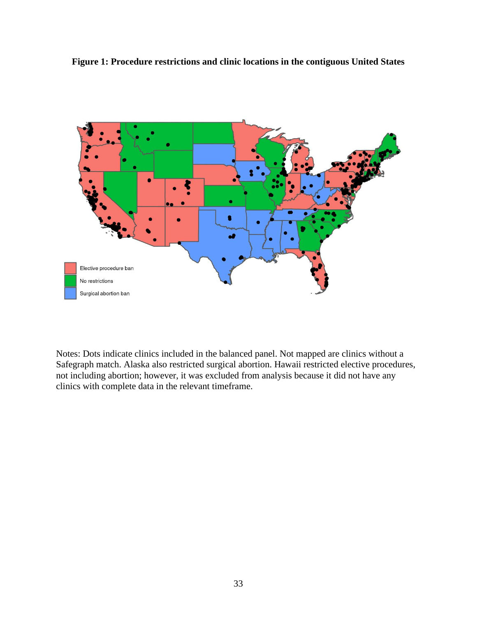**Figure 1: Procedure restrictions and clinic locations in the contiguous United States**



Notes: Dots indicate clinics included in the balanced panel. Not mapped are clinics without a Safegraph match. Alaska also restricted surgical abortion. Hawaii restricted elective procedures, not including abortion; however, it was excluded from analysis because it did not have any clinics with complete data in the relevant timeframe.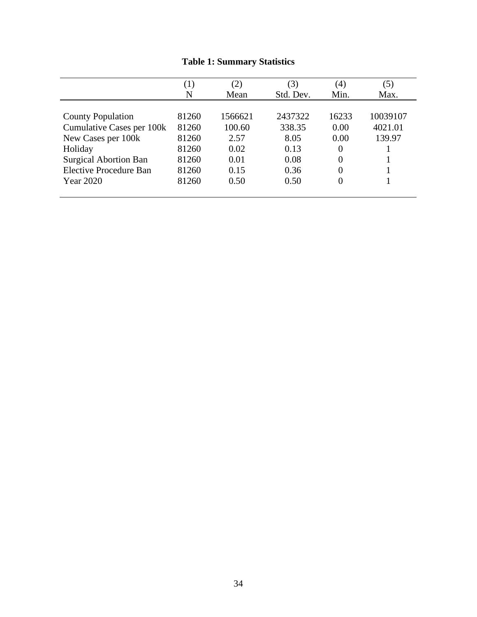|                              | $\left( 1\right)$ | (2)     | (3)       | (4)   | (5)      |
|------------------------------|-------------------|---------|-----------|-------|----------|
|                              | N                 | Mean    | Std. Dev. | Min.  | Max.     |
|                              |                   |         |           |       |          |
| <b>County Population</b>     | 81260             | 1566621 | 2437322   | 16233 | 10039107 |
| Cumulative Cases per 100k    | 81260             | 100.60  | 338.35    | 0.00  | 4021.01  |
| New Cases per 100k           | 81260             | 2.57    | 8.05      | 0.00  | 139.97   |
| Holiday                      | 81260             | 0.02    | 0.13      |       |          |
| <b>Surgical Abortion Ban</b> | 81260             | 0.01    | 0.08      | 0     |          |
| Elective Procedure Ban       | 81260             | 0.15    | 0.36      |       |          |
| Year 2020                    | 81260             | 0.50    | 0.50      |       |          |
|                              |                   |         |           |       |          |

# **Table 1: Summary Statistics**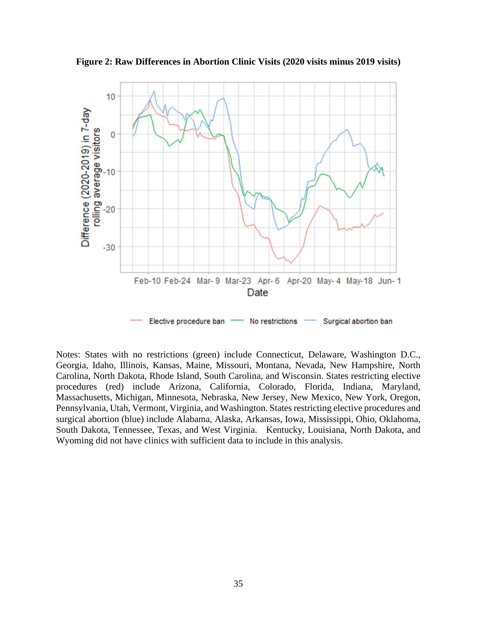

**Figure 2: Raw Differences in Abortion Clinic Visits (2020 visits minus 2019 visits)**

Notes: States with no restrictions (green) include Connecticut, Delaware, Washington D.C., Georgia, Idaho, Illinois, Kansas, Maine, Missouri, Montana, Nevada, New Hampshire, North Carolina, North Dakota, Rhode Island, South Carolina, and Wisconsin. States restricting elective procedures (red) include Arizona, California, Colorado, Florida, Indiana, Maryland, Massachusetts, Michigan, Minnesota, Nebraska, New Jersey, New Mexico, New York, Oregon, Pennsylvania, Utah, Vermont, Virginia, and Washington. States restricting elective procedures and surgical abortion (blue) include Alabama, Alaska, Arkansas, Iowa, Mississippi, Ohio, Oklahoma, South Dakota, Tennessee, Texas, and West Virginia. Kentucky, Louisiana, North Dakota, and Wyoming did not have clinics with sufficient data to include in this analysis.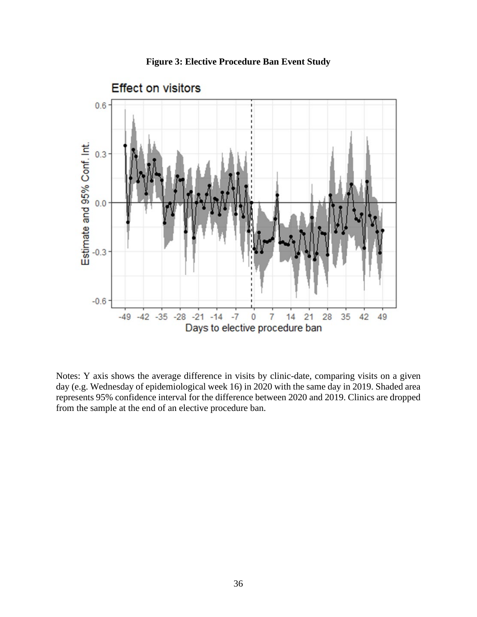



Notes: Y axis shows the average difference in visits by clinic-date, comparing visits on a given day (e.g. Wednesday of epidemiological week 16) in 2020 with the same day in 2019. Shaded area represents 95% confidence interval for the difference between 2020 and 2019. Clinics are dropped from the sample at the end of an elective procedure ban.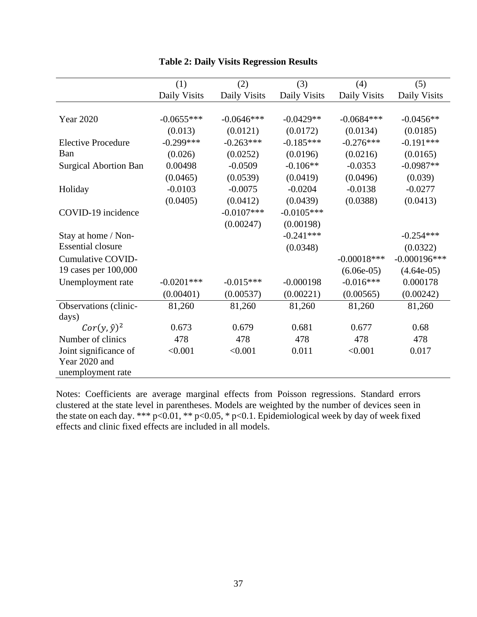|                              | (1)           | (2)          | (3)          | (4)           | (5)             |
|------------------------------|---------------|--------------|--------------|---------------|-----------------|
|                              | Daily Visits  | Daily Visits | Daily Visits | Daily Visits  | Daily Visits    |
|                              |               |              |              |               |                 |
| <b>Year 2020</b>             | $-0.0655***$  | $-0.0646***$ | $-0.0429**$  | $-0.0684***$  | $-0.0456**$     |
|                              | (0.013)       | (0.0121)     | (0.0172)     | (0.0134)      | (0.0185)        |
| <b>Elective Procedure</b>    | $-0.299***$   | $-0.263***$  | $-0.185***$  | $-0.276***$   | $-0.191***$     |
| Ban                          | (0.026)       | (0.0252)     | (0.0196)     | (0.0216)      | (0.0165)        |
| <b>Surgical Abortion Ban</b> | 0.00498       | $-0.0509$    | $-0.106**$   | $-0.0353$     | $-0.0987**$     |
|                              | (0.0465)      | (0.0539)     | (0.0419)     | (0.0496)      | (0.039)         |
| Holiday                      | $-0.0103$     | $-0.0075$    | $-0.0204$    | $-0.0138$     | $-0.0277$       |
|                              | (0.0405)      | (0.0412)     | (0.0439)     | (0.0388)      | (0.0413)        |
| COVID-19 incidence           |               | $-0.0107***$ | $-0.0105***$ |               |                 |
|                              |               | (0.00247)    | (0.00198)    |               |                 |
| Stay at home / Non-          |               |              | $-0.241***$  |               | $-0.254***$     |
| <b>Essential closure</b>     |               |              | (0.0348)     |               | (0.0322)        |
| Cumulative COVID-            |               |              |              | $-0.00018***$ | $-0.000196$ *** |
| 19 cases per 100,000         |               |              |              | $(6.06e-05)$  | $(4.64e-05)$    |
| Unemployment rate            | $-0.0201$ *** | $-0.015***$  | $-0.000198$  | $-0.016***$   | 0.000178        |
|                              | (0.00401)     | (0.00537)    | (0.00221)    | (0.00565)     | (0.00242)       |
| Observations (clinic-        | 81,260        | 81,260       | 81,260       | 81,260        | 81,260          |
| days)                        |               |              |              |               |                 |
| $Cor(y, \hat{y})^2$          | 0.673         | 0.679        | 0.681        | 0.677         | 0.68            |
| Number of clinics            | 478           | 478          | 478          | 478           | 478             |
| Joint significance of        | < 0.001       | < 0.001      | 0.011        | < 0.001       | 0.017           |
| Year 2020 and                |               |              |              |               |                 |
| unemployment rate            |               |              |              |               |                 |

# **Table 2: Daily Visits Regression Results**

Notes: Coefficients are average marginal effects from Poisson regressions. Standard errors clustered at the state level in parentheses. Models are weighted by the number of devices seen in the state on each day. \*\*\*  $p<0.01$ , \*\*  $p<0.05$ , \*  $p<0.1$ . Epidemiological week by day of week fixed effects and clinic fixed effects are included in all models.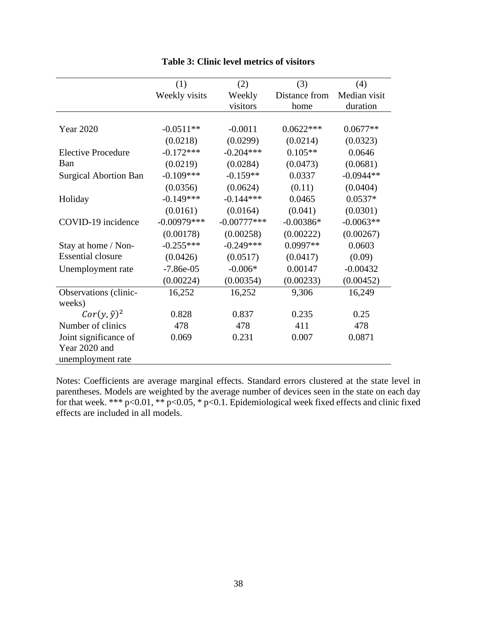|                              | (1)           | (2)           | (3)           | (4)          |
|------------------------------|---------------|---------------|---------------|--------------|
|                              | Weekly visits | Weekly        | Distance from | Median visit |
|                              |               | visitors      | home          | duration     |
|                              |               |               |               |              |
| <b>Year 2020</b>             | $-0.0511**$   | $-0.0011$     | $0.0622***$   | $0.0677**$   |
|                              | (0.0218)      | (0.0299)      | (0.0214)      | (0.0323)     |
| <b>Elective Procedure</b>    | $-0.172***$   | $-0.204***$   | $0.105**$     | 0.0646       |
| Ban                          | (0.0219)      | (0.0284)      | (0.0473)      | (0.0681)     |
| <b>Surgical Abortion Ban</b> | $-0.109***$   | $-0.159**$    | 0.0337        | $-0.0944**$  |
|                              | (0.0356)      | (0.0624)      | (0.11)        | (0.0404)     |
| Holiday                      | $-0.149***$   | $-0.144***$   | 0.0465        | $0.0537*$    |
|                              | (0.0161)      | (0.0164)      | (0.041)       | (0.0301)     |
| COVID-19 incidence           | $-0.00979***$ | $-0.00777***$ | $-0.00386*$   | $-0.0063**$  |
|                              | (0.00178)     | (0.00258)     | (0.00222)     | (0.00267)    |
| Stay at home / Non-          | $-0.255***$   | $-0.249***$   | $0.0997**$    | 0.0603       |
| <b>Essential closure</b>     | (0.0426)      | (0.0517)      | (0.0417)      | (0.09)       |
| Unemployment rate            | $-7.86e-05$   | $-0.006*$     | 0.00147       | $-0.00432$   |
|                              | (0.00224)     | (0.00354)     | (0.00233)     | (0.00452)    |
| Observations (clinic-        | 16,252        | 16,252        | 9,306         | 16,249       |
| weeks)                       |               |               |               |              |
| $Cor(y, \hat{y})^2$          | 0.828         | 0.837         | 0.235         | 0.25         |
| Number of clinics            | 478           | 478           | 411           | 478          |
| Joint significance of        | 0.069         | 0.231         | 0.007         | 0.0871       |
| Year 2020 and                |               |               |               |              |
| unemployment rate            |               |               |               |              |

## **Table 3: Clinic level metrics of visitors**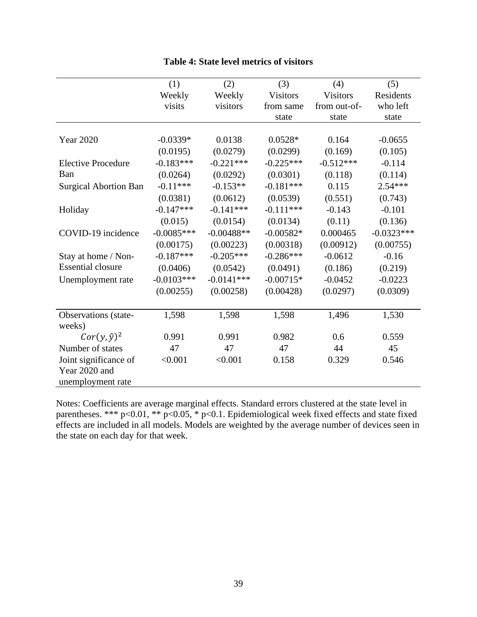|                              | (1)          | (2)          | (3)             | (4)             | (5)          |
|------------------------------|--------------|--------------|-----------------|-----------------|--------------|
|                              | Weekly       | Weekly       | <b>Visitors</b> | <b>Visitors</b> | Residents    |
|                              | visits       | visitors     | from same       | from out-of-    | who left     |
|                              |              |              | state           | state           | state        |
|                              |              |              |                 |                 |              |
| <b>Year 2020</b>             | $-0.0339*$   | 0.0138       | $0.0528*$       | 0.164           | $-0.0655$    |
|                              | (0.0195)     | (0.0279)     | (0.0299)        | (0.169)         | (0.105)      |
| <b>Elective Procedure</b>    | $-0.183***$  | $-0.221***$  | $-0.225***$     | $-0.512***$     | $-0.114$     |
| Ban                          | (0.0264)     | (0.0292)     | (0.0301)        | (0.118)         | (0.114)      |
| <b>Surgical Abortion Ban</b> | $-0.11***$   | $-0.153**$   | $-0.181***$     | 0.115           | $2.54***$    |
|                              | (0.0381)     | (0.0612)     | (0.0539)        | (0.551)         | (0.743)      |
| Holiday                      | $-0.147***$  | $-0.141***$  | $-0.111***$     | $-0.143$        | $-0.101$     |
|                              | (0.015)      | (0.0154)     | (0.0134)        | (0.11)          | (0.136)      |
| COVID-19 incidence           | $-0.0085***$ | $-0.00488**$ | $-0.00582*$     | 0.000465        | $-0.0323***$ |
|                              | (0.00175)    | (0.00223)    | (0.00318)       | (0.00912)       | (0.00755)    |
| Stay at home / Non-          | $-0.187***$  | $-0.205***$  | $-0.286***$     | $-0.0612$       | $-0.16$      |
| <b>Essential closure</b>     | (0.0406)     | (0.0542)     | (0.0491)        | (0.186)         | (0.219)      |
| Unemployment rate            | $-0.0103***$ | $-0.0141***$ | $-0.00715*$     | $-0.0452$       | $-0.0223$    |
|                              | (0.00255)    | (0.00258)    | (0.00428)       | (0.0297)        | (0.0309)     |
|                              |              |              |                 |                 |              |
| Observations (state-         | 1,598        | 1,598        | 1,598           | 1,496           | 1,530        |
| weeks)                       |              |              |                 |                 |              |
| $Cor(y, \hat{y})^2$          | 0.991        | 0.991        | 0.982           | 0.6             | 0.559        |
| Number of states             | 47           | 47           | 47              | 44              | 45           |
| Joint significance of        | < 0.001      | < 0.001      | 0.158           | 0.329           | 0.546        |
| Year 2020 and                |              |              |                 |                 |              |
| unemployment rate            |              |              |                 |                 |              |

## **Table 4: State level metrics of visitors**

Notes: Coefficients are average marginal effects. Standard errors clustered at the state level in parentheses. \*\*\* p<0.01, \*\* p<0.05, \* p<0.1. Epidemiological week fixed effects and state fixed effects are included in all models. Models are weighted by the average number of devices seen in the state on each day for that week.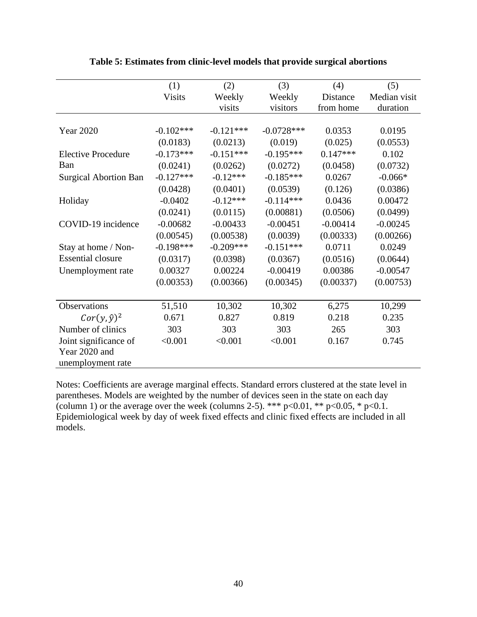|                              | (1)           | (2)         | (3)          | (4)        | (5)          |
|------------------------------|---------------|-------------|--------------|------------|--------------|
|                              | <b>Visits</b> | Weekly      | Weekly       | Distance   | Median visit |
|                              |               | visits      | visitors     | from home  | duration     |
|                              |               |             |              |            |              |
| <b>Year 2020</b>             | $-0.102***$   | $-0.121***$ | $-0.0728***$ | 0.0353     | 0.0195       |
|                              | (0.0183)      | (0.0213)    | (0.019)      | (0.025)    | (0.0553)     |
| <b>Elective Procedure</b>    | $-0.173***$   | $-0.151***$ | $-0.195***$  | $0.147***$ | 0.102        |
| Ban                          | (0.0241)      | (0.0262)    | (0.0272)     | (0.0458)   | (0.0732)     |
| <b>Surgical Abortion Ban</b> | $-0.127***$   | $-0.12***$  | $-0.185***$  | 0.0267     | $-0.066*$    |
|                              | (0.0428)      | (0.0401)    | (0.0539)     | (0.126)    | (0.0386)     |
| Holiday                      | $-0.0402$     | $-0.12***$  | $-0.114***$  | 0.0436     | 0.00472      |
|                              | (0.0241)      | (0.0115)    | (0.00881)    | (0.0506)   | (0.0499)     |
| COVID-19 incidence           | $-0.00682$    | $-0.00433$  | $-0.00451$   | $-0.00414$ | $-0.00245$   |
|                              | (0.00545)     | (0.00538)   | (0.0039)     | (0.00333)  | (0.00266)    |
| Stay at home / Non-          | $-0.198***$   | $-0.209***$ | $-0.151***$  | 0.0711     | 0.0249       |
| <b>Essential closure</b>     | (0.0317)      | (0.0398)    | (0.0367)     | (0.0516)   | (0.0644)     |
| Unemployment rate            | 0.00327       | 0.00224     | $-0.00419$   | 0.00386    | $-0.00547$   |
|                              | (0.00353)     | (0.00366)   | (0.00345)    | (0.00337)  | (0.00753)    |
|                              |               |             |              |            |              |
| Observations                 | 51,510        | 10,302      | 10,302       | 6,275      | 10,299       |
| $Cor(y, \hat{y})^2$          | 0.671         | 0.827       | 0.819        | 0.218      | 0.235        |
| Number of clinics            | 303           | 303         | 303          | 265        | 303          |
| Joint significance of        | < 0.001       | < 0.001     | < 0.001      | 0.167      | 0.745        |
| Year 2020 and                |               |             |              |            |              |
| unemployment rate            |               |             |              |            |              |

**Table 5: Estimates from clinic-level models that provide surgical abortions**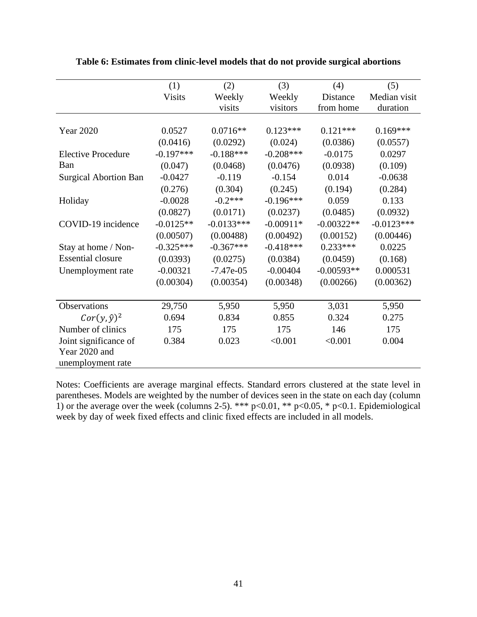|                              | (1)           | (2)          | (3)         | (4)          | (5)          |
|------------------------------|---------------|--------------|-------------|--------------|--------------|
|                              | <b>Visits</b> | Weekly       | Weekly      | Distance     | Median visit |
|                              |               | visits       | visitors    | from home    | duration     |
|                              |               |              |             |              |              |
| <b>Year 2020</b>             | 0.0527        | $0.0716**$   | $0.123***$  | $0.121***$   | $0.169***$   |
|                              | (0.0416)      | (0.0292)     | (0.024)     | (0.0386)     | (0.0557)     |
| <b>Elective Procedure</b>    | $-0.197***$   | $-0.188***$  | $-0.208***$ | $-0.0175$    | 0.0297       |
| Ban                          | (0.047)       | (0.0468)     | (0.0476)    | (0.0938)     | (0.109)      |
| <b>Surgical Abortion Ban</b> | $-0.0427$     | $-0.119$     | $-0.154$    | 0.014        | $-0.0638$    |
|                              | (0.276)       | (0.304)      | (0.245)     | (0.194)      | (0.284)      |
| Holiday                      | $-0.0028$     | $-0.2***$    | $-0.196***$ | 0.059        | 0.133        |
|                              | (0.0827)      | (0.0171)     | (0.0237)    | (0.0485)     | (0.0932)     |
| COVID-19 incidence           | $-0.0125**$   | $-0.0133***$ | $-0.00911*$ | $-0.00322**$ | $-0.0123***$ |
|                              | (0.00507)     | (0.00488)    | (0.00492)   | (0.00152)    | (0.00446)    |
| Stay at home / Non-          | $-0.325***$   | $-0.367***$  | $-0.418***$ | $0.233***$   | 0.0225       |
| <b>Essential closure</b>     | (0.0393)      | (0.0275)     | (0.0384)    | (0.0459)     | (0.168)      |
| Unemployment rate            | $-0.00321$    | $-7.47e-05$  | $-0.00404$  | $-0.00593**$ | 0.000531     |
|                              | (0.00304)     | (0.00354)    | (0.00348)   | (0.00266)    | (0.00362)    |
|                              |               |              |             |              |              |
| Observations                 | 29,750        | 5,950        | 5,950       | 3,031        | 5,950        |
| $Cor(y, \hat{y})^2$          | 0.694         | 0.834        | 0.855       | 0.324        | 0.275        |
| Number of clinics            | 175           | 175          | 175         | 146          | 175          |
| Joint significance of        | 0.384         | 0.023        | < 0.001     | < 0.001      | 0.004        |
| Year 2020 and                |               |              |             |              |              |
| unemployment rate            |               |              |             |              |              |

**Table 6: Estimates from clinic-level models that do not provide surgical abortions**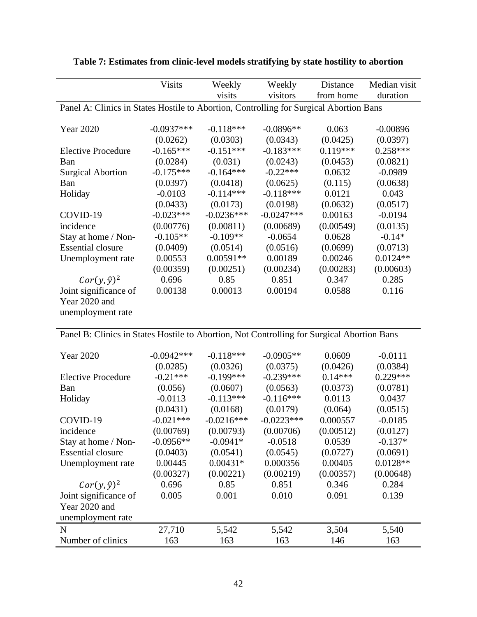|                                                                                        | <b>Visits</b> | Weekly       | Weekly       | Distance   | Median visit |
|----------------------------------------------------------------------------------------|---------------|--------------|--------------|------------|--------------|
|                                                                                        |               | visits       | visitors     | from home  | duration     |
| Panel A: Clinics in States Hostile to Abortion, Controlling for Surgical Abortion Bans |               |              |              |            |              |
|                                                                                        |               |              |              |            |              |
| Year 2020                                                                              | $-0.0937***$  | $-0.118***$  | $-0.0896**$  | 0.063      | $-0.00896$   |
|                                                                                        | (0.0262)      | (0.0303)     | (0.0343)     | (0.0425)   | (0.0397)     |
| <b>Elective Procedure</b>                                                              | $-0.165***$   | $-0.151***$  | $-0.183***$  | $0.119***$ | $0.258***$   |
| Ban                                                                                    | (0.0284)      | (0.031)      | (0.0243)     | (0.0453)   | (0.0821)     |
| <b>Surgical Abortion</b>                                                               | $-0.175***$   | $-0.164***$  | $-0.22***$   | 0.0632     | $-0.0989$    |
| Ban                                                                                    | (0.0397)      | (0.0418)     | (0.0625)     | (0.115)    | (0.0638)     |
| Holiday                                                                                | $-0.0103$     | $-0.114***$  | $-0.118***$  | 0.0121     | 0.043        |
|                                                                                        | (0.0433)      | (0.0173)     | (0.0198)     | (0.0632)   | (0.0517)     |
| COVID-19                                                                               | $-0.023***$   | $-0.0236***$ | $-0.0247***$ | 0.00163    | $-0.0194$    |
| incidence                                                                              | (0.00776)     | (0.00811)    | (0.00689)    | (0.00549)  | (0.0135)     |
| Stay at home / Non-                                                                    | $-0.105**$    | $-0.109**$   | $-0.0654$    | 0.0628     | $-0.14*$     |
| <b>Essential closure</b>                                                               | (0.0409)      | (0.0514)     | (0.0516)     | (0.0699)   | (0.0713)     |
| Unemployment rate                                                                      | 0.00553       | $0.00591**$  | 0.00189      | 0.00246    | $0.0124**$   |
|                                                                                        | (0.00359)     | (0.00251)    | (0.00234)    | (0.00283)  | (0.00603)    |
| $Cor(y, \hat{y})^2$                                                                    | 0.696         | 0.85         | 0.851        | 0.347      | 0.285        |
| Joint significance of                                                                  | 0.00138       | 0.00013      | 0.00194      | 0.0588     | 0.116        |
| Year 2020 and                                                                          |               |              |              |            |              |
| unemployment rate                                                                      |               |              |              |            |              |
|                                                                                        |               |              |              |            |              |

**Table 7: Estimates from clinic-level models stratifying by state hostility to abortion** 

Panel B: Clinics in States Hostile to Abortion, Not Controlling for Surgical Abortion Bans

| Year 2020                 | $-0.0942***$ | $-0.118***$  | $-0.0905**$  | 0.0609    | $-0.0111$  |
|---------------------------|--------------|--------------|--------------|-----------|------------|
|                           | (0.0285)     | (0.0326)     | (0.0375)     | (0.0426)  | (0.0384)   |
| <b>Elective Procedure</b> | $-0.21***$   | $-0.199***$  | $-0.239***$  | $0.14***$ | $0.229***$ |
| Ban                       | (0.056)      | (0.0607)     | (0.0563)     | (0.0373)  | (0.0781)   |
| Holiday                   | $-0.0113$    | $-0.113***$  | $-0.116***$  | 0.0113    | 0.0437     |
|                           | (0.0431)     | (0.0168)     | (0.0179)     | (0.064)   | (0.0515)   |
| COVID-19                  | $-0.021***$  | $-0.0216***$ | $-0.0223***$ | 0.000557  | $-0.0185$  |
| incidence                 | (0.00769)    | (0.00793)    | (0.00706)    | (0.00512) | (0.0127)   |
| Stay at home / Non-       | $-0.0956**$  | $-0.0941*$   | $-0.0518$    | 0.0539    | $-0.137*$  |
| <b>Essential closure</b>  | (0.0403)     | (0.0541)     | (0.0545)     | (0.0727)  | (0.0691)   |
| Unemployment rate         | 0.00445      | $0.00431*$   | 0.000356     | 0.00405   | $0.0128**$ |
|                           | (0.00327)    | (0.00221)    | (0.00219)    | (0.00357) | (0.00648)  |
| $Cor(y, \hat{y})^2$       | 0.696        | 0.85         | 0.851        | 0.346     | 0.284      |
| Joint significance of     | 0.005        | 0.001        | 0.010        | 0.091     | 0.139      |
| Year 2020 and             |              |              |              |           |            |
| unemployment rate         |              |              |              |           |            |
| N                         | 27,710       | 5,542        | 5,542        | 3,504     | 5,540      |
| Number of clinics         | 163          | 163          | 163          | 146       | 163        |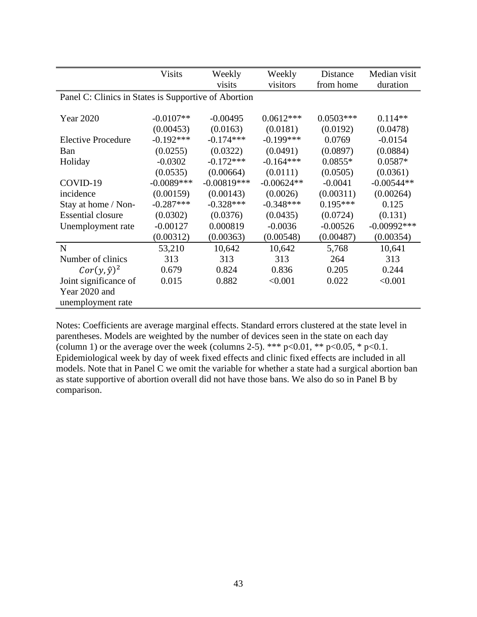|                           | <b>Visits</b>                                        | Weekly<br>visits | Weekly<br>visitors | Distance<br>from home | Median visit<br>duration |  |  |  |
|---------------------------|------------------------------------------------------|------------------|--------------------|-----------------------|--------------------------|--|--|--|
|                           | Panel C: Clinics in States is Supportive of Abortion |                  |                    |                       |                          |  |  |  |
|                           |                                                      |                  |                    |                       |                          |  |  |  |
| <b>Year 2020</b>          | $-0.0107**$                                          | $-0.00495$       | $0.0612***$        | $0.0503***$           | $0.114**$                |  |  |  |
|                           | (0.00453)                                            | (0.0163)         | (0.0181)           | (0.0192)              | (0.0478)                 |  |  |  |
| <b>Elective Procedure</b> | $-0.192***$                                          | $-0.174***$      | $-0.199***$        | 0.0769                | $-0.0154$                |  |  |  |
| <b>Ban</b>                | (0.0255)                                             | (0.0322)         | (0.0491)           | (0.0897)              | (0.0884)                 |  |  |  |
| Holiday                   | $-0.0302$                                            | $-0.172***$      | $-0.164***$        | $0.0855*$             | $0.0587*$                |  |  |  |
|                           | (0.0535)                                             | (0.00664)        | (0.0111)           | (0.0505)              | (0.0361)                 |  |  |  |
| COVID-19                  | $-0.0089***$                                         | $-0.00819***$    | $-0.00624**$       | $-0.0041$             | $-0.00544**$             |  |  |  |
| incidence                 | (0.00159)                                            | (0.00143)        | (0.0026)           | (0.00311)             | (0.00264)                |  |  |  |
| Stay at home / Non-       | $-0.287***$                                          | $-0.328***$      | $-0.348***$        | $0.195***$            | 0.125                    |  |  |  |
| <b>Essential closure</b>  | (0.0302)                                             | (0.0376)         | (0.0435)           | (0.0724)              | (0.131)                  |  |  |  |
| Unemployment rate         | $-0.00127$                                           | 0.000819         | $-0.0036$          | $-0.00526$            | $-0.00992***$            |  |  |  |
|                           | (0.00312)                                            | (0.00363)        | (0.00548)          | (0.00487)             | (0.00354)                |  |  |  |
| $\mathbf N$               | 53,210                                               | 10,642           | 10,642             | 5,768                 | 10,641                   |  |  |  |
| Number of clinics         | 313                                                  | 313              | 313                | 264                   | 313                      |  |  |  |
| $Cor(y, \hat{y})^2$       | 0.679                                                | 0.824            | 0.836              | 0.205                 | 0.244                    |  |  |  |
| Joint significance of     | 0.015                                                | 0.882            | < 0.001            | 0.022                 | < 0.001                  |  |  |  |
| Year 2020 and             |                                                      |                  |                    |                       |                          |  |  |  |
| unemployment rate         |                                                      |                  |                    |                       |                          |  |  |  |

Notes: Coefficients are average marginal effects. Standard errors clustered at the state level in parentheses. Models are weighted by the number of devices seen in the state on each day (column 1) or the average over the week (columns 2-5). \*\*\*  $p<0.01$ , \*\*  $p<0.05$ , \*  $p<0.1$ . Epidemiological week by day of week fixed effects and clinic fixed effects are included in all models. Note that in Panel C we omit the variable for whether a state had a surgical abortion ban as state supportive of abortion overall did not have those bans. We also do so in Panel B by comparison.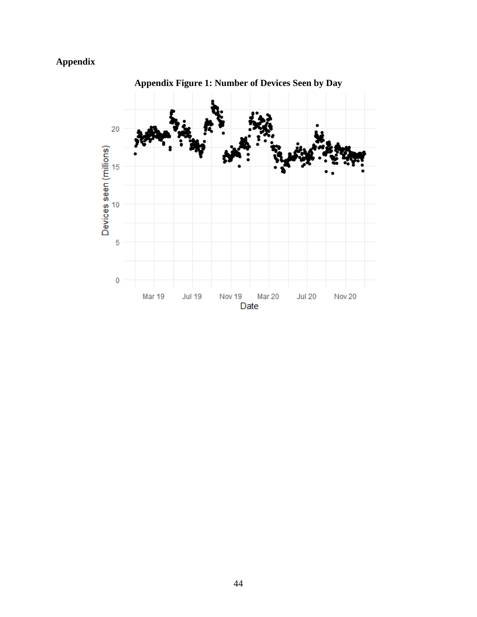# **Appendix**



**Appendix Figure 1: Number of Devices Seen by Day**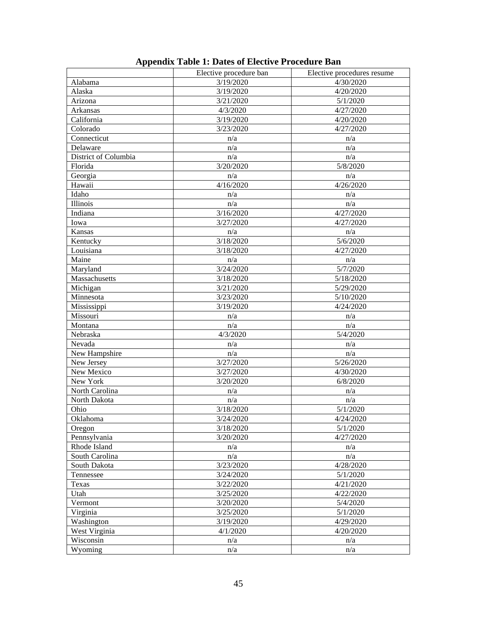|                      | Elective procedure ban | Elective procedures resume |  |  |
|----------------------|------------------------|----------------------------|--|--|
| Alabama              | 3/19/2020              | 4/30/2020                  |  |  |
| Alaska               | 3/19/2020              | 4/20/2020                  |  |  |
| Arizona              | 3/21/2020              | 5/1/2020                   |  |  |
| Arkansas             | 4/3/2020               | 4/27/2020                  |  |  |
| California           | 3/19/2020              | 4/20/2020                  |  |  |
| Colorado             | 3/23/2020              | 4/27/2020                  |  |  |
| Connecticut          | n/a                    | n/a                        |  |  |
| Delaware             | n/a                    | n/a                        |  |  |
| District of Columbia | n/a                    | n/a                        |  |  |
| Florida              | 3/20/2020              | 5/8/2020                   |  |  |
| Georgia              | n/a                    | n/a                        |  |  |
| Hawaii               | 4/16/2020              | $\frac{1}{4}/26/2020$      |  |  |
| Idaho                | n/a                    | n/a                        |  |  |
| Illinois             | n/a                    | n/a                        |  |  |
| Indiana              | 3/16/2020              | 4/27/2020                  |  |  |
| Iowa                 | 3/27/2020              | 4/27/2020                  |  |  |
| Kansas               | n/a                    | n/a                        |  |  |
| Kentucky             | $\frac{1}{3}$ 18/2020  | $\frac{1}{5}/6/2020$       |  |  |
| Louisiana            | 3/18/2020              | 4/27/2020                  |  |  |
| Maine                | n/a                    | n/a                        |  |  |
| Maryland             | $\frac{1}{3}/24/2020$  | $\frac{1}{5}/7/2020$       |  |  |
| Massachusetts        | 3/18/2020              | 5/18/2020                  |  |  |
| Michigan             | 3/21/2020              | 5/29/2020                  |  |  |
| Minnesota            | 3/23/2020              | 5/10/2020                  |  |  |
| Mississippi          | 3/19/2020              | 4/24/2020                  |  |  |
| Missouri             | n/a                    | n/a                        |  |  |
| Montana              | n/a                    | n/a                        |  |  |
| Nebraska             | 4/3/2020               | 5/4/2020                   |  |  |
| Nevada               | n/a                    | n/a                        |  |  |
| New Hampshire        | n/a                    | n/a                        |  |  |
| New Jersey           | 3/27/2020              | 5/26/2020                  |  |  |
| New Mexico           | 3/27/2020              | 4/30/2020                  |  |  |
| New York             | 3/20/2020              | 6/8/2020                   |  |  |
| North Carolina       | n/a                    | n/a                        |  |  |
| North Dakota         | n/a                    | n/a                        |  |  |
| Ohio                 | 3/18/2020              | 5/1/2020                   |  |  |
| Oklahoma             | 3/24/2020              | 4/24/2020                  |  |  |
| Oregon               | 3/18/2020              | 5/1/2020                   |  |  |
| Pennsylvania         | 3/20/2020              | 4/27/2020                  |  |  |
| Rhode Island         | n/a                    | n/a                        |  |  |
| South Carolina       | n/a                    | n/a                        |  |  |
| South Dakota         | 3/23/2020              | 4/28/2020                  |  |  |
| Tennessee            | 3/24/2020              | 5/1/2020                   |  |  |
| Texas                | 3/22/2020              | 4/21/2020                  |  |  |
| Utah                 | 3/25/2020              | 4/22/2020                  |  |  |
| Vermont              | 3/20/2020              | 5/4/2020                   |  |  |
| Virginia             | 3/25/2020              | 5/1/2020                   |  |  |
| Washington           | 3/19/2020              | 4/29/2020                  |  |  |
| West Virginia        | 4/1/2020               | 4/20/2020                  |  |  |
| Wisconsin            | n/a                    | n/a                        |  |  |
| Wyoming              | n/a                    | n/a                        |  |  |

# **Appendix Table 1: Dates of Elective Procedure Ban**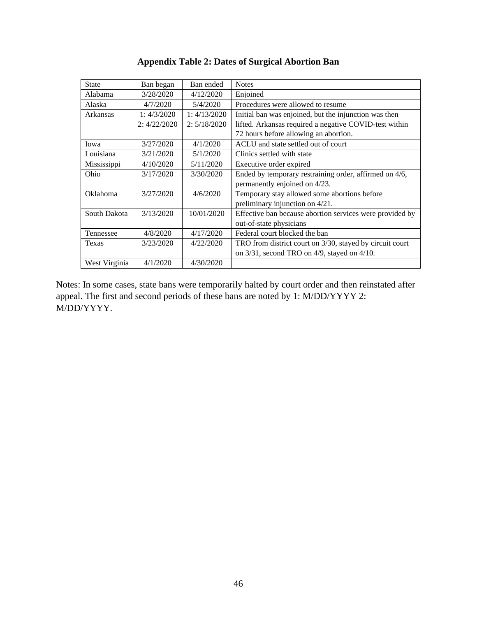| Ban began    | Ban ended    | <b>Notes</b>                                             |
|--------------|--------------|----------------------------------------------------------|
| 3/28/2020    | 4/12/2020    | Enjoined                                                 |
| 4/7/2020     | 5/4/2020     | Procedures were allowed to resume                        |
| 1:4/3/2020   | 1:4/13/2020  | Initial ban was enjoined, but the injunction was then    |
| 2: 4/22/2020 | 2: 5/18/2020 | lifted. Arkansas required a negative COVID-test within   |
|              |              | 72 hours before allowing an abortion.                    |
| 3/27/2020    | 4/1/2020     | ACLU and state settled out of court                      |
| 3/21/2020    | 5/1/2020     | Clinics settled with state                               |
| 4/10/2020    | 5/11/2020    | Executive order expired                                  |
| 3/17/2020    | 3/30/2020    | Ended by temporary restraining order, affirmed on 4/6,   |
|              |              | permanently enjoined on 4/23.                            |
| 3/27/2020    | 4/6/2020     | Temporary stay allowed some abortions before             |
|              |              | preliminary injunction on 4/21.                          |
| 3/13/2020    | 10/01/2020   | Effective ban because abortion services were provided by |
|              |              | out-of-state physicians                                  |
| 4/8/2020     | 4/17/2020    | Federal court blocked the ban                            |
| 3/23/2020    | 4/22/2020    | TRO from district court on 3/30, stayed by circuit court |
|              |              | on $3/31$ , second TRO on $4/9$ , stayed on $4/10$ .     |
| 4/1/2020     | 4/30/2020    |                                                          |
|              |              |                                                          |

# **Appendix Table 2: Dates of Surgical Abortion Ban**

Notes: In some cases, state bans were temporarily halted by court order and then reinstated after appeal. The first and second periods of these bans are noted by 1: M/DD/YYYY 2: M/DD/YYYY.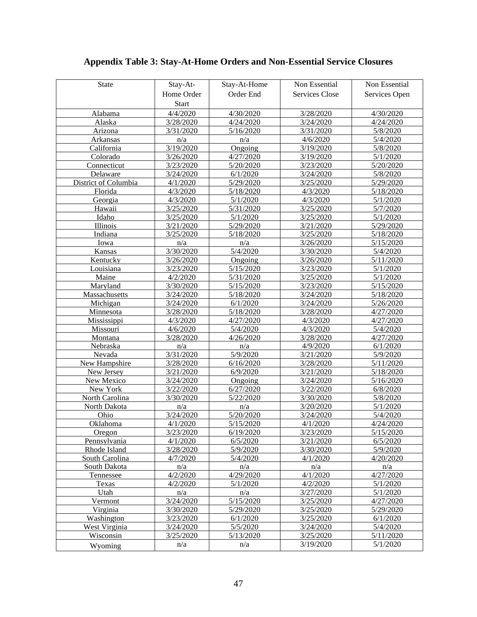| <b>State</b>         | Stay-At-     | Stay-At-Home | Non Essential         | Non Essential |
|----------------------|--------------|--------------|-----------------------|---------------|
|                      | Home Order   | Order End    | <b>Services Close</b> | Services Open |
|                      | <b>Start</b> |              |                       |               |
|                      | 4/4/2020     |              |                       |               |
| Alabama              |              | 4/30/2020    | 3/28/2020             | 4/30/2020     |
| Alaska               | 3/28/2020    | 4/24/2020    | 3/24/2020             | 4/24/2020     |
| Arizona              | 3/31/2020    | 5/16/2020    | 3/31/2020             | 5/8/2020      |
| Arkansas             | n/a          | n/a          | 4/6/2020              | 5/4/2020      |
| California           | 3/19/2020    | Ongoing      | 3/19/2020             | 5/8/2020      |
| Colorado             | 3/26/2020    | 4/27/2020    | 3/19/2020             | 5/1/2020      |
| Connecticut          | 3/23/2020    | 5/20/2020    | 3/23/2020             | 5/20/2020     |
| Delaware             | 3/24/2020    | 6/1/2020     | 3/24/2020             | 5/8/2020      |
| District of Columbia | 4/1/2020     | 5/29/2020    | 3/25/2020             | 5/29/2020     |
| Florida              | 4/3/2020     | 5/18/2020    | 4/3/2020              | 5/18/2020     |
| Georgia              | 4/3/2020     | 5/1/2020     | 4/3/2020              | 5/1/2020      |
| Hawaii               | 3/25/2020    | 5/31/2020    | 3/25/2020             | 5/7/2020      |
| Idaho                | 3/25/2020    | 5/1/2020     | 3/25/2020             | 5/1/2020      |
| Illinois             | 3/21/2020    | 5/29/2020    | 3/21/2020             | 5/29/2020     |
| Indiana              | 3/25/2020    | 5/18/2020    | 3/25/2020             | 5/18/2020     |
| Iowa                 | n/a          | n/a          | 3/26/2020             | 5/15/2020     |
| Kansas               | 3/30/2020    | 5/4/2020     | 3/30/2020             | 5/4/2020      |
| Kentucky             | 3/26/2020    | Ongoing      | 3/26/2020             | 5/11/2020     |
| Louisiana            | 3/23/2020    | 5/15/2020    | 3/23/2020             | 5/1/2020      |
| Maine                | 4/2/2020     | 5/31/2020    | 3/25/2020             | 5/1/2020      |
| Maryland             | 3/30/2020    | 5/15/2020    | 3/23/2020             | 5/15/2020     |
| Massachusetts        | 3/24/2020    | 5/18/2020    | 3/24/2020             | 5/18/2020     |
| Michigan             | 3/24/2020    | 6/1/2020     | 3/24/2020             | 5/26/2020     |
| Minnesota            | 3/28/2020    | 5/18/2020    | 3/28/2020             | 4/27/2020     |
| Mississippi          | 4/3/2020     | 4/27/2020    | 4/3/2020              | 4/27/2020     |
| Missouri             | 4/6/2020     | 5/4/2020     | 4/3/2020              | 5/4/2020      |
| Montana              | 3/28/2020    | 4/26/2020    | 3/28/2020             | 4/27/2020     |
| Nebraska             | n/a          | n/a          | 4/9/2020              | 6/1/2020      |
| Nevada               | 3/31/2020    | 5/9/2020     | 3/21/2020             | 5/9/2020      |
| New Hampshire        | 3/28/2020    | 6/16/2020    | 3/28/2020             | 5/11/2020     |
| New Jersey           | 3/21/2020    | 6/9/2020     | 3/21/2020             | 5/18/2020     |
| New Mexico           | 3/24/2020    | Ongoing      | 3/24/2020             | 5/16/2020     |
| New York             | 3/22/2020    | 6/27/2020    | 3/22/2020             | 6/8/2020      |
| North Carolina       | 3/30/2020    | 5/22/2020    | 3/30/2020             | 5/8/2020      |
| North Dakota         | n/a          | n/a          | 3/20/2020             | 5/1/2020      |
| Ohio                 | 3/24/2020    | 5/20/2020    | 3/24/2020             | 5/4/2020      |
| Oklahoma             | 4/1/2020     | 5/15/2020    | 4/1/2020              | 4/24/2020     |
| Oregon               | 3/23/2020    | 6/19/2020    | 3/23/2020             | 5/15/2020     |
| Pennsylvania         | 4/1/2020     | 6/5/2020     | 3/21/2020             | 6/5/2020      |
| Rhode Island         | 3/28/2020    | 5/9/2020     | 3/30/2020             | 5/9/2020      |
| South Carolina       | 4/7/2020     | 5/4/2020     | 4/1/2020              | 4/20/2020     |
| South Dakota         | n/a          | n/a          | n/a                   | n/a           |
| Tennessee            | 4/2/2020     | 4/29/2020    | 4/1/2020              | 4/27/2020     |
| Texas                | 4/2/2020     | 5/1/2020     | 4/2/2020              | 5/1/2020      |
| Utah                 | n/a          | n/a          | 3/27/2020             | 5/1/2020      |
| Vermont              | 3/24/2020    | 5/15/2020    | 3/25/2020             | 4/27/2020     |
| Virginia             | 3/30/2020    | 5/29/2020    | 3/25/2020             | 5/29/2020     |
| Washington           | 3/23/2020    | 6/1/2020     | 3/25/2020             | 6/1/2020      |
| West Virginia        | 3/24/2020    | 5/5/2020     | 3/24/2020             | 5/4/2020      |
| Wisconsin            | 3/25/2020    | 5/13/2020    | 3/25/2020             | 5/11/2020     |
| Wyoming              | n/a          | n/a          | 3/19/2020             | 5/1/2020      |
|                      |              |              |                       |               |

# **Appendix Table 3: Stay-At-Home Orders and Non-Essential Service Closures**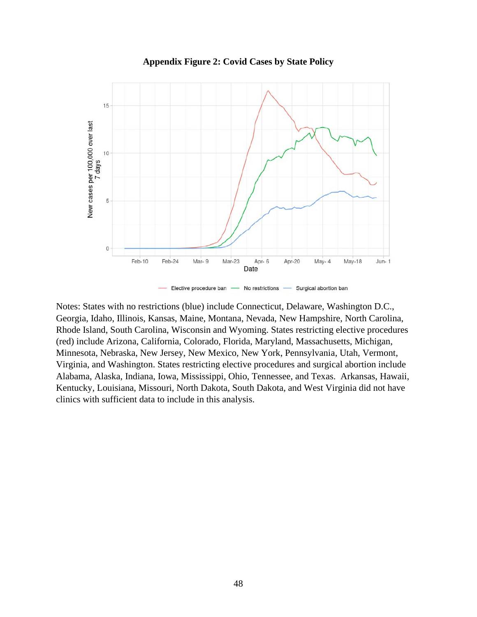

**Appendix Figure 2: Covid Cases by State Policy** 

Notes: States with no restrictions (blue) include Connecticut, Delaware, Washington D.C., Georgia, Idaho, Illinois, Kansas, Maine, Montana, Nevada, New Hampshire, North Carolina, Rhode Island, South Carolina, Wisconsin and Wyoming. States restricting elective procedures (red) include Arizona, California, Colorado, Florida, Maryland, Massachusetts, Michigan, Minnesota, Nebraska, New Jersey, New Mexico, New York, Pennsylvania, Utah, Vermont, Virginia, and Washington. States restricting elective procedures and surgical abortion include Alabama, Alaska, Indiana, Iowa, Mississippi, Ohio, Tennessee, and Texas. Arkansas, Hawaii, Kentucky, Louisiana, Missouri, North Dakota, South Dakota, and West Virginia did not have clinics with sufficient data to include in this analysis.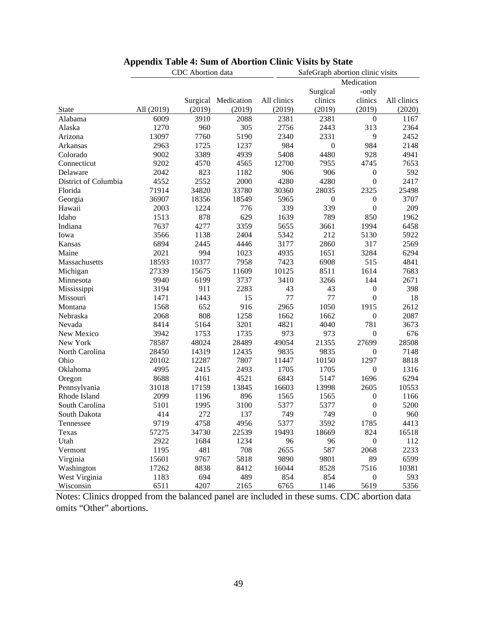|                      |            | CDC Abortion data |            |             | SafeGraph abortion clinic visits |                  |             |  |  |
|----------------------|------------|-------------------|------------|-------------|----------------------------------|------------------|-------------|--|--|
|                      |            |                   |            |             |                                  | Medication       |             |  |  |
|                      |            |                   |            |             | Surgical                         | -only            |             |  |  |
|                      |            | Surgical          | Medication | All clinics | clinics                          | clinics          | All clinics |  |  |
| <b>State</b>         | All (2019) | (2019)            | (2019)     | (2019)      | (2019)                           | (2019)           | (2020)      |  |  |
| Alabama              | 6009       | 3910              | 2088       | 2381        | 2381                             | $\boldsymbol{0}$ | 1167        |  |  |
| Alaska               | 1270       | 960               | 305        | 2756        | 2443                             | 313              | 2364        |  |  |
| Arizona              | 13097      | 7760              | 5190       | 2340        | 2331                             | 9                | 2452        |  |  |
| Arkansas             | 2963       | 1725              | 1237       | 984         | $\boldsymbol{0}$                 | 984              | 2148        |  |  |
| Colorado             | 9002       | 3389              | 4939       | 5408        | 4480                             | 928              | 4941        |  |  |
| Connecticut          | 9202       | 4570              | 4565       | 12700       | 7955                             | 4745             | 7653        |  |  |
| Delaware             | 2042       | 823               | 1182       | 906         | 906                              | $\boldsymbol{0}$ | 592         |  |  |
| District of Columbia | 4552       | 2552              | 2000       | 4280        | 4280                             | $\boldsymbol{0}$ | 2417        |  |  |
| Florida              | 71914      | 34820             | 33780      | 30360       | 28035                            | 2325             | 25498       |  |  |
| Georgia              | 36907      | 18356             | 18549      | 5965        | $\boldsymbol{0}$                 | $\boldsymbol{0}$ | 3707        |  |  |
| Hawaii               | 2003       | 1224              | 776        | 339         | 339                              | $\boldsymbol{0}$ | 209         |  |  |
| Idaho                | 1513       | 878               | 629        | 1639        | 789                              | 850              | 1962        |  |  |
| Indiana              | 7637       | 4277              | 3359       | 5655        | 3661                             | 1994             | 6458        |  |  |
| Iowa                 | 3566       | 1138              | 2404       | 5342        | 212                              | 5130             | 5922        |  |  |
| Kansas               | 6894       | 2445              | 4446       | 3177        | 2860                             | 317              | 2569        |  |  |
| Maine                | 2021       | 994               | 1023       | 4935        | 1651                             | 3284             | 6294        |  |  |
| Massachusetts        | 18593      | 10377             | 7958       | 7423        | 6908                             | 515              | 4841        |  |  |
| Michigan             | 27339      | 15675             | 11609      | 10125       | 8511                             | 1614             | 7683        |  |  |
| Minnesota            | 9940       | 6199              | 3737       | 3410        | 3266                             | 144              | 2671        |  |  |
| Mississippi          | 3194       | 911               | 2283       | 43          | 43                               | $\boldsymbol{0}$ | 398         |  |  |
| Missouri             | 1471       | 1443              | 15         | 77          | 77                               | $\mathbf{0}$     | 18          |  |  |
| Montana              | 1568       | 652               | 916        | 2965        | 1050                             | 1915             | 2612        |  |  |
| Nebraska             | 2068       | 808               | 1258       | 1662        | 1662                             | $\boldsymbol{0}$ | 2087        |  |  |
| Nevada               | 8414       | 5164              | 3201       | 4821        | 4040                             | 781              | 3673        |  |  |
| New Mexico           | 3942       | 1753              | 1735       | 973         | 973                              | $\boldsymbol{0}$ | 676         |  |  |
| New York             | 78587      | 48024             | 28489      | 49054       | 21355                            | 27699            | 28508       |  |  |
| North Carolina       | 28450      | 14319             | 12435      | 9835        | 9835                             | $\boldsymbol{0}$ | 7148        |  |  |
| Ohio                 | 20102      | 12287             | 7807       | 11447       | 10150                            | 1297             | 8818        |  |  |
| Oklahoma             | 4995       | 2415              | 2493       | 1705        | 1705                             | $\boldsymbol{0}$ | 1316        |  |  |
| Oregon               | 8688       | 4161              | 4521       | 6843        | 5147                             | 1696             | 6294        |  |  |
| Pennsylvania         | 31018      | 17159             | 13845      | 16603       | 13998                            | 2605             | 10553       |  |  |
| Rhode Island         | 2099       | 1196              | 896        | 1565        | 1565                             | $\boldsymbol{0}$ | 1166        |  |  |
| South Carolina       | 5101       | 1995              | 3100       | 5377        | 5377                             | $\boldsymbol{0}$ | 5200        |  |  |
| South Dakota         | 414        | 272               | 137        | 749         | 749                              | $\boldsymbol{0}$ | 960         |  |  |
| Tennessee            | 9719       | 4758              | 4956       | 5377        | 3592                             | 1785             | 4413        |  |  |
| Texas                | 57275      | 34730             | 22539      | 19493       | 18669                            | 824              | 16518       |  |  |
| Utah                 | 2922       | 1684              | 1234       | 96          | 96                               | $\boldsymbol{0}$ | 112         |  |  |
| Vermont              | 1195       | 481               | 708        | 2655        | 587                              | 2068             | 2233        |  |  |
| Virginia             | 15601      | 9767              | 5818       | 9890        | 9801                             | 89               | 6599        |  |  |
| Washington           | 17262      | 8838              | 8412       | 16044       | 8528                             | 7516             | 10381       |  |  |
| West Virginia        | 1183       | 694               | 489        | 854         | 854                              | $\boldsymbol{0}$ | 593         |  |  |
| Wisconsin            | 6511       | 4207              | 2165       | 6765        | 1146                             | 5619             | 5356        |  |  |

### **Appendix Table 4: Sum of Abortion Clinic Visits by State**

Notes: Clinics dropped from the balanced panel are included in these sums. CDC abortion data omits "Other" abortions.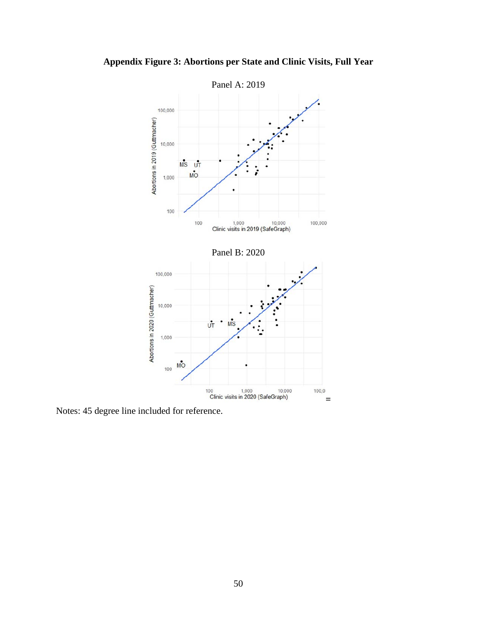

**Appendix Figure 3: Abortions per State and Clinic Visits, Full Year**

Notes: 45 degree line included for reference.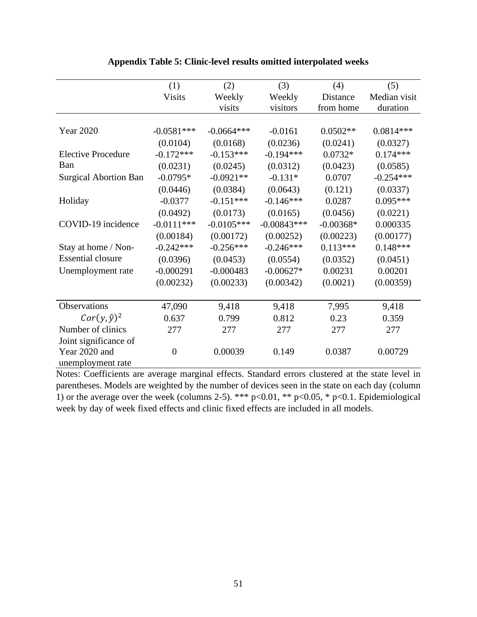|                              | (1)           | (2)          | (3)           | (4)         | (5)          |
|------------------------------|---------------|--------------|---------------|-------------|--------------|
|                              | <b>Visits</b> | Weekly       | Weekly        | Distance    | Median visit |
|                              |               | visits       | visitors      | from home   | duration     |
|                              |               |              |               |             |              |
| <b>Year 2020</b>             | $-0.0581***$  | $-0.0664***$ | $-0.0161$     | $0.0502**$  | $0.0814***$  |
|                              | (0.0104)      | (0.0168)     | (0.0236)      | (0.0241)    | (0.0327)     |
| <b>Elective Procedure</b>    | $-0.172***$   | $-0.153***$  | $-0.194***$   | $0.0732*$   | $0.174***$   |
| Ban                          | (0.0231)      | (0.0245)     | (0.0312)      | (0.0423)    | (0.0585)     |
| <b>Surgical Abortion Ban</b> | $-0.0795*$    | $-0.0921**$  | $-0.131*$     | 0.0707      | $-0.254***$  |
|                              | (0.0446)      | (0.0384)     | (0.0643)      | (0.121)     | (0.0337)     |
| Holiday                      | $-0.0377$     | $-0.151***$  | $-0.146***$   | 0.0287      | $0.095***$   |
|                              | (0.0492)      | (0.0173)     | (0.0165)      | (0.0456)    | (0.0221)     |
| COVID-19 incidence           | $-0.0111***$  | $-0.0105***$ | $-0.00843***$ | $-0.00368*$ | 0.000335     |
|                              | (0.00184)     | (0.00172)    | (0.00252)     | (0.00223)   | (0.00177)    |
| Stay at home / Non-          | $-0.242***$   | $-0.256***$  | $-0.246***$   | $0.113***$  | $0.148***$   |
| <b>Essential closure</b>     | (0.0396)      | (0.0453)     | (0.0554)      | (0.0352)    | (0.0451)     |
| Unemployment rate            | $-0.000291$   | $-0.000483$  | $-0.00627*$   | 0.00231     | 0.00201      |
|                              | (0.00232)     | (0.00233)    | (0.00342)     | (0.0021)    | (0.00359)    |
|                              |               |              |               |             |              |
| Observations                 | 47,090        | 9,418        | 9,418         | 7,995       | 9,418        |
| $Cor(y, \hat{y})^2$          | 0.637         | 0.799        | 0.812         | 0.23        | 0.359        |
| Number of clinics            | 277           | 277          | 277           | 277         | 277          |
| Joint significance of        |               |              |               |             |              |
| Year 2020 and                | $\theta$      | 0.00039      | 0.149         | 0.0387      | 0.00729      |
| unemployment rate            |               |              |               |             |              |

## **Appendix Table 5: Clinic-level results omitted interpolated weeks**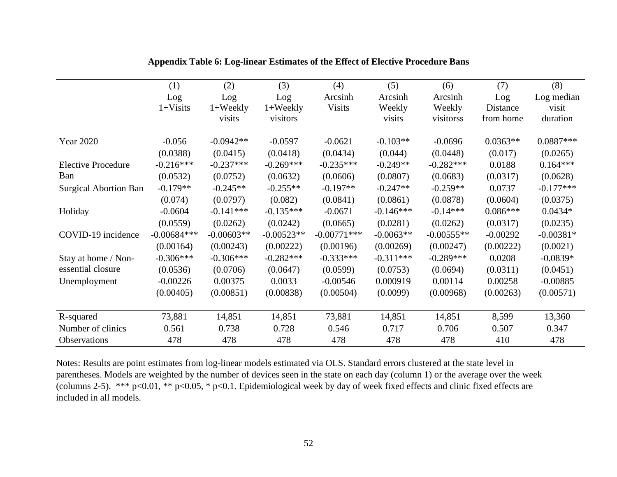|                              | (1)           | (2)              | (3)          | (4)            | (5)         | (6)          | (7)        | (8)         |
|------------------------------|---------------|------------------|--------------|----------------|-------------|--------------|------------|-------------|
|                              | Log           | Log              | Log          | Arcsinh        | Arcsinh     | Arcsinh      | Log        | Log median  |
|                              | $1+Visits$    | $1+{\rm Weekly}$ | $1+$ Weekly  | <b>Visits</b>  | Weekly      | Weekly       | Distance   | visit       |
|                              |               | visits           | visitors     |                | visits      | visitorss    | from home  | duration    |
| <b>Year 2020</b>             | $-0.056$      | $-0.0942**$      | $-0.0597$    | $-0.0621$      | $-0.103**$  | $-0.0696$    | $0.0363**$ | $0.0887***$ |
|                              | (0.0388)      | (0.0415)         | (0.0418)     | (0.0434)       | (0.044)     | (0.0448)     | (0.017)    | (0.0265)    |
| <b>Elective Procedure</b>    | $-0.216***$   | $-0.237***$      | $-0.269***$  | $-0.235***$    | $-0.249**$  | $-0.282***$  | 0.0188     | $0.164***$  |
| Ban                          | (0.0532)      | (0.0752)         | (0.0632)     | (0.0606)       | (0.0807)    | (0.0683)     | (0.0317)   | (0.0628)    |
| <b>Surgical Abortion Ban</b> | $-0.179**$    | $-0.245**$       | $-0.255**$   | $-0.197**$     | $-0.247**$  | $-0.259**$   | 0.0737     | $-0.177***$ |
|                              | (0.074)       | (0.0797)         | (0.082)      | (0.0841)       | (0.0861)    | (0.0878)     | (0.0604)   | (0.0375)    |
| Holiday                      | $-0.0604$     | $-0.141***$      | $-0.135***$  | $-0.0671$      | $-0.146***$ | $-0.14***$   | $0.086***$ | $0.0434*$   |
|                              | (0.0559)      | (0.0262)         | (0.0242)     | (0.0665)       | (0.0281)    | (0.0262)     | (0.0317)   | (0.0235)    |
| COVID-19 incidence           | $-0.00684***$ | $-0.00603**$     | $-0.00523**$ | $-0.00771$ *** | $-0.0063**$ | $-0.00555**$ | $-0.00292$ | $-0.00381*$ |
|                              | (0.00164)     | (0.00243)        | (0.00222)    | (0.00196)      | (0.00269)   | (0.00247)    | (0.00222)  | (0.0021)    |
| Stay at home / Non-          | $-0.306***$   | $-0.306***$      | $-0.282***$  | $-0.333***$    | $-0.311***$ | $-0.289***$  | 0.0208     | $-0.0839*$  |
| essential closure            | (0.0536)      | (0.0706)         | (0.0647)     | (0.0599)       | (0.0753)    | (0.0694)     | (0.0311)   | (0.0451)    |
| Unemployment                 | $-0.00226$    | 0.00375          | 0.0033       | $-0.00546$     | 0.000919    | 0.00114      | 0.00258    | $-0.00885$  |
|                              | (0.00405)     | (0.00851)        | (0.00838)    | (0.00504)      | (0.0099)    | (0.00968)    | (0.00263)  | (0.00571)   |
|                              |               |                  |              |                |             |              |            |             |
| R-squared                    | 73,881        | 14,851           | 14,851       | 73,881         | 14,851      | 14,851       | 8,599      | 13,360      |
| Number of clinics            | 0.561         | 0.738            | 0.728        | 0.546          | 0.717       | 0.706        | 0.507      | 0.347       |
| Observations                 | 478           | 478              | 478          | 478            | 478         | 478          | 410        | 478         |

# **Appendix Table 6: Log-linear Estimates of the Effect of Elective Procedure Bans**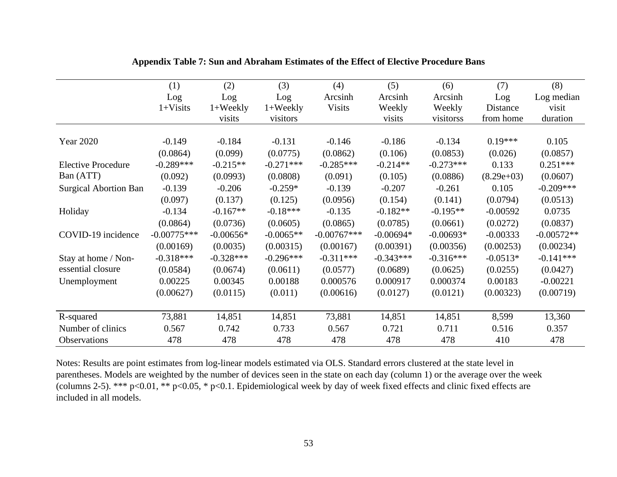|                              | (1)           | (2)                | (3)         | (4)           | (5)         | (6)         | (7)          | (8)          |
|------------------------------|---------------|--------------------|-------------|---------------|-------------|-------------|--------------|--------------|
|                              | Log           | Log                | Log         | Arcsinh       | Arcsinh     | Arcsinh     | Log          | Log median   |
|                              | $1+Visits$    | $1+ \text{Weekly}$ | $1+$ Weekly | <b>Visits</b> | Weekly      | Weekly      | Distance     | visit        |
|                              |               | visits             | visitors    |               | visits      | visitorss   | from home    | duration     |
|                              |               |                    |             |               |             |             |              |              |
| <b>Year 2020</b>             | $-0.149$      | $-0.184$           | $-0.131$    | $-0.146$      | $-0.186$    | $-0.134$    | $0.19***$    | 0.105        |
|                              | (0.0864)      | (0.099)            | (0.0775)    | (0.0862)      | (0.106)     | (0.0853)    | (0.026)      | (0.0857)     |
| <b>Elective Procedure</b>    | $-0.289***$   | $-0.215**$         | $-0.271***$ | $-0.285***$   | $-0.214**$  | $-0.273***$ | 0.133        | $0.251***$   |
| Ban (ATT)                    | (0.092)       | (0.0993)           | (0.0808)    | (0.091)       | (0.105)     | (0.0886)    | $(8.29e+03)$ | (0.0607)     |
| <b>Surgical Abortion Ban</b> | $-0.139$      | $-0.206$           | $-0.259*$   | $-0.139$      | $-0.207$    | $-0.261$    | 0.105        | $-0.209***$  |
|                              | (0.097)       | (0.137)            | (0.125)     | (0.0956)      | (0.154)     | (0.141)     | (0.0794)     | (0.0513)     |
| Holiday                      | $-0.134$      | $-0.167**$         | $-0.18***$  | $-0.135$      | $-0.182**$  | $-0.195**$  | $-0.00592$   | 0.0735       |
|                              | (0.0864)      | (0.0736)           | (0.0605)    | (0.0865)      | (0.0785)    | (0.0661)    | (0.0272)     | (0.0837)     |
| COVID-19 incidence           | $-0.00775***$ | $-0.00656*$        | $-0.0065**$ | $-0.00767***$ | $-0.00694*$ | $-0.00693*$ | $-0.00333$   | $-0.00572**$ |
|                              | (0.00169)     | (0.0035)           | (0.00315)   | (0.00167)     | (0.00391)   | (0.00356)   | (0.00253)    | (0.00234)    |
| Stay at home / Non-          | $-0.318***$   | $-0.328***$        | $-0.296***$ | $-0.311***$   | $-0.343***$ | $-0.316***$ | $-0.0513*$   | $-0.141***$  |
| essential closure            | (0.0584)      | (0.0674)           | (0.0611)    | (0.0577)      | (0.0689)    | (0.0625)    | (0.0255)     | (0.0427)     |
| Unemployment                 | 0.00225       | 0.00345            | 0.00188     | 0.000576      | 0.000917    | 0.000374    | 0.00183      | $-0.00221$   |
|                              | (0.00627)     | (0.0115)           | (0.011)     | (0.00616)     | (0.0127)    | (0.0121)    | (0.00323)    | (0.00719)    |
|                              |               |                    |             |               |             |             |              |              |
| R-squared                    | 73,881        | 14,851             | 14,851      | 73,881        | 14,851      | 14,851      | 8,599        | 13,360       |
| Number of clinics            | 0.567         | 0.742              | 0.733       | 0.567         | 0.721       | 0.711       | 0.516        | 0.357        |
| Observations                 | 478           | 478                | 478         | 478           | 478         | 478         | 410          | 478          |

## **Appendix Table 7: Sun and Abraham Estimates of the Effect of Elective Procedure Bans**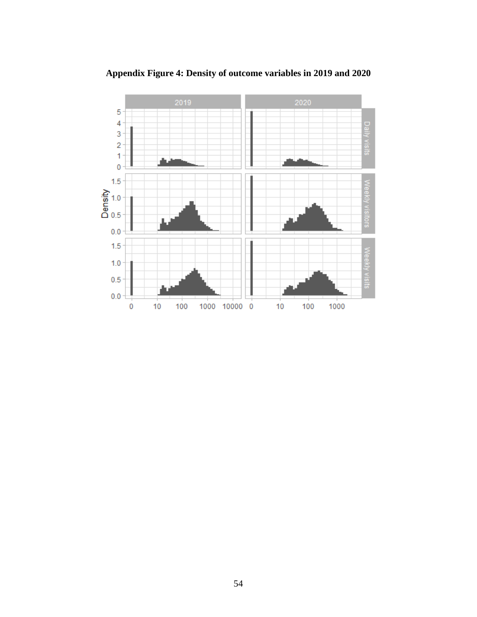

**Appendix Figure 4: Density of outcome variables in 2019 and 2020**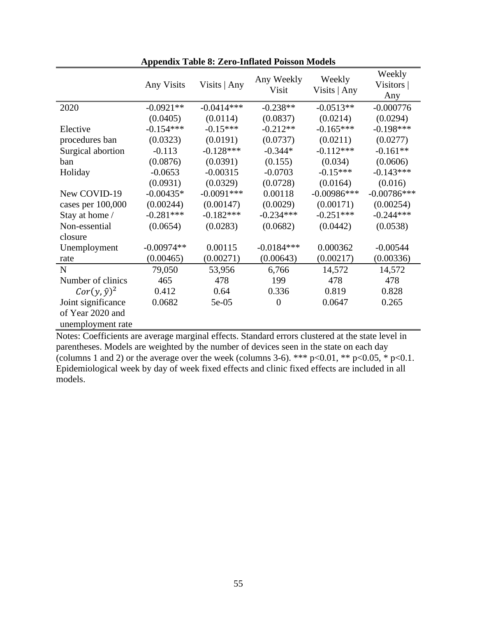|                     | <b>Any Visits</b> | Visits   Any | Any Weekly<br>Visit | Weekly<br>Visits   Any | Weekly<br>Visitors  <br>Any |
|---------------------|-------------------|--------------|---------------------|------------------------|-----------------------------|
| 2020                | $-0.0921**$       | $-0.0414***$ | $-0.238**$          | $-0.0513**$            | $-0.000776$                 |
|                     | (0.0405)          | (0.0114)     | (0.0837)            | (0.0214)               | (0.0294)                    |
| Elective            | $-0.154***$       | $-0.15***$   | $-0.212**$          | $-0.165***$            | $-0.198***$                 |
| procedures ban      | (0.0323)          | (0.0191)     | (0.0737)            | (0.0211)               | (0.0277)                    |
| Surgical abortion   | $-0.113$          | $-0.128***$  | $-0.344*$           | $-0.112***$            | $-0.161**$                  |
| ban                 | (0.0876)          | (0.0391)     | (0.155)             | (0.034)                | (0.0606)                    |
| Holiday             | $-0.0653$         | $-0.00315$   | $-0.0703$           | $-0.15***$             | $-0.143***$                 |
|                     | (0.0931)          | (0.0329)     | (0.0728)            | (0.0164)               | (0.016)                     |
| New COVID-19        | $-0.00435*$       | $-0.0091***$ | 0.00118             | $-0.00986$ ***         | $-0.00786***$               |
| cases per 100,000   | (0.00244)         | (0.00147)    | (0.0029)            | (0.00171)              | (0.00254)                   |
| Stay at home /      | $-0.281***$       | $-0.182***$  | $-0.234***$         | $-0.251***$            | $-0.244***$                 |
| Non-essential       | (0.0654)          | (0.0283)     | (0.0682)            | (0.0442)               | (0.0538)                    |
| closure             |                   |              |                     |                        |                             |
| Unemployment        | $-0.00974**$      | 0.00115      | $-0.0184***$        | 0.000362               | $-0.00544$                  |
| rate                | (0.00465)         | (0.00271)    | (0.00643)           | (0.00217)              | (0.00336)                   |
| $\mathbf N$         | 79,050            | 53,956       | 6,766               | 14,572                 | 14,572                      |
| Number of clinics   | 465               | 478          | 199                 | 478                    | 478                         |
| $Cor(y, \hat{y})^2$ | 0.412             | 0.64         | 0.336               | 0.819                  | 0.828                       |
| Joint significance  | 0.0682            | $5e-05$      | $\overline{0}$      | 0.0647                 | 0.265                       |
| of Year 2020 and    |                   |              |                     |                        |                             |
| unemployment rate   |                   |              |                     |                        |                             |

**Appendix Table 8: Zero-Inflated Poisson Models**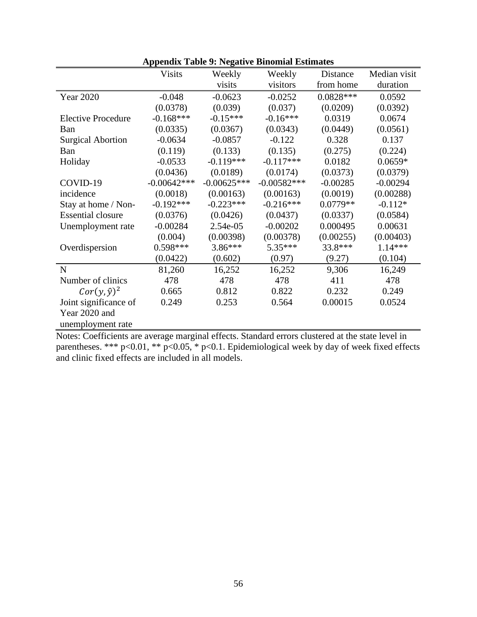|                           | <b>Visits</b> | Weekly        | Weekly        | Distance    | Median visit |
|---------------------------|---------------|---------------|---------------|-------------|--------------|
|                           |               | visits        | visitors      | from home   | duration     |
| <b>Year 2020</b>          | $-0.048$      | $-0.0623$     | $-0.0252$     | $0.0828***$ | 0.0592       |
|                           | (0.0378)      | (0.039)       | (0.037)       | (0.0209)    | (0.0392)     |
| <b>Elective Procedure</b> | $-0.168***$   | $-0.15***$    | $-0.16***$    | 0.0319      | 0.0674       |
| Ban                       | (0.0335)      | (0.0367)      | (0.0343)      | (0.0449)    | (0.0561)     |
| <b>Surgical Abortion</b>  | $-0.0634$     | $-0.0857$     | $-0.122$      | 0.328       | 0.137        |
| Ban                       | (0.119)       | (0.133)       | (0.135)       | (0.275)     | (0.224)      |
| Holiday                   | $-0.0533$     | $-0.119***$   | $-0.117***$   | 0.0182      | $0.0659*$    |
|                           | (0.0436)      | (0.0189)      | (0.0174)      | (0.0373)    | (0.0379)     |
| COVID-19                  | $-0.00642***$ | $-0.00625***$ | $-0.00582***$ | $-0.00285$  | $-0.00294$   |
| incidence                 | (0.0018)      | (0.00163)     | (0.00163)     | (0.0019)    | (0.00288)    |
| Stay at home / Non-       | $-0.192***$   | $-0.223***$   | $-0.216***$   | $0.0779**$  | $-0.112*$    |
| <b>Essential closure</b>  | (0.0376)      | (0.0426)      | (0.0437)      | (0.0337)    | (0.0584)     |
| Unemployment rate         | $-0.00284$    | 2.54e-05      | $-0.00202$    | 0.000495    | 0.00631      |
|                           | (0.004)       | (0.00398)     | (0.00378)     | (0.00255)   | (0.00403)    |
| Overdispersion            | $0.598***$    | 3.86***       | 5.35***       | 33.8***     | 1.14 ***     |
|                           | (0.0422)      | (0.602)       | (0.97)        | (9.27)      | (0.104)      |
| $\mathbf N$               | 81,260        | 16,252        | 16,252        | 9,306       | 16,249       |
| Number of clinics         | 478           | 478           | 478           | 411         | 478          |
| $Cor(y, \hat{y})^2$       | 0.665         | 0.812         | 0.822         | 0.232       | 0.249        |
| Joint significance of     | 0.249         | 0.253         | 0.564         | 0.00015     | 0.0524       |
| Year 2020 and             |               |               |               |             |              |
| unemployment rate         |               |               |               |             |              |

| <b>Appendix Table 9: Negative Binomial Estimates</b> |  |  |
|------------------------------------------------------|--|--|
|------------------------------------------------------|--|--|

Notes: Coefficients are average marginal effects. Standard errors clustered at the state level in parentheses. \*\*\* p<0.01, \*\* p<0.05, \* p<0.1. Epidemiological week by day of week fixed effects and clinic fixed effects are included in all models.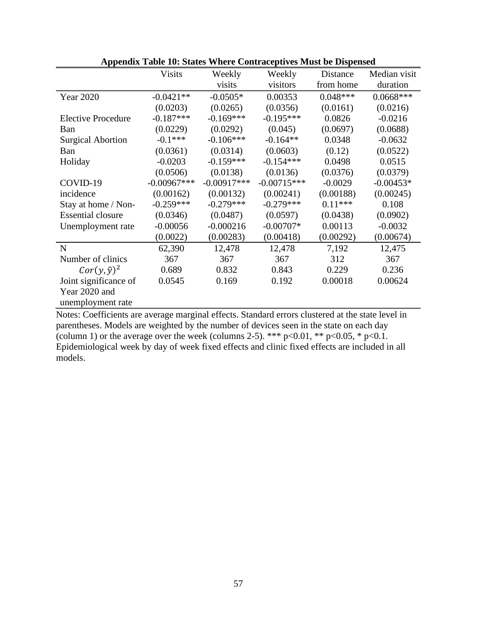|                           | <b>Visits</b> | Weekly        | Weekly        | Distance   | Median visit |
|---------------------------|---------------|---------------|---------------|------------|--------------|
|                           |               | visits        | visitors      | from home  | duration     |
| <b>Year 2020</b>          | $-0.0421**$   | $-0.0505*$    | 0.00353       | $0.048***$ | $0.0668***$  |
|                           | (0.0203)      | (0.0265)      | (0.0356)      | (0.0161)   | (0.0216)     |
| <b>Elective Procedure</b> | $-0.187***$   | $-0.169***$   | $-0.195***$   | 0.0826     | $-0.0216$    |
| Ban                       | (0.0229)      | (0.0292)      | (0.045)       | (0.0697)   | (0.0688)     |
| <b>Surgical Abortion</b>  | $-0.1***$     | $-0.106***$   | $-0.164**$    | 0.0348     | $-0.0632$    |
| Ban                       | (0.0361)      | (0.0314)      | (0.0603)      | (0.12)     | (0.0522)     |
| Holiday                   | $-0.0203$     | $-0.159***$   | $-0.154***$   | 0.0498     | 0.0515       |
|                           | (0.0506)      | (0.0138)      | (0.0136)      | (0.0376)   | (0.0379)     |
| COVID-19                  | $-0.00967***$ | $-0.00917***$ | $-0.00715***$ | $-0.0029$  | $-0.00453*$  |
| incidence                 | (0.00162)     | (0.00132)     | (0.00241)     | (0.00188)  | (0.00245)    |
| Stay at home / Non-       | $-0.259***$   | $-0.279***$   | $-0.279***$   | $0.11***$  | 0.108        |
| <b>Essential closure</b>  | (0.0346)      | (0.0487)      | (0.0597)      | (0.0438)   | (0.0902)     |
| Unemployment rate         | $-0.00056$    | $-0.000216$   | $-0.00707*$   | 0.00113    | $-0.0032$    |
|                           | (0.0022)      | (0.00283)     | (0.00418)     | (0.00292)  | (0.00674)    |
| $\mathbf N$               | 62,390        | 12,478        | 12,478        | 7,192      | 12,475       |
| Number of clinics         | 367           | 367           | 367           | 312        | 367          |
| $Cor(y, \hat{y})^2$       | 0.689         | 0.832         | 0.843         | 0.229      | 0.236        |
| Joint significance of     | 0.0545        | 0.169         | 0.192         | 0.00018    | 0.00624      |
| Year 2020 and             |               |               |               |            |              |
| unemployment rate         |               |               |               |            |              |

|  |  |  |  |  | <b>Appendix Table 10: States Where Contraceptives Must be Dispensed</b> |  |  |  |  |
|--|--|--|--|--|-------------------------------------------------------------------------|--|--|--|--|
|--|--|--|--|--|-------------------------------------------------------------------------|--|--|--|--|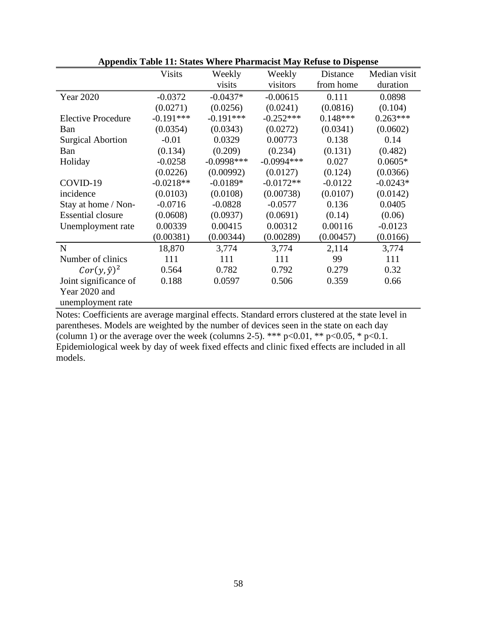|                           | <b>Visits</b> | Weekly       | Weekly       | Distance   | Median visit |
|---------------------------|---------------|--------------|--------------|------------|--------------|
|                           |               | visits       | visitors     | from home  | duration     |
| Year 2020                 | $-0.0372$     | $-0.0437*$   | $-0.00615$   | 0.111      | 0.0898       |
|                           | (0.0271)      | (0.0256)     | (0.0241)     | (0.0816)   | (0.104)      |
| <b>Elective Procedure</b> | $-0.191***$   | $-0.191***$  | $-0.252***$  | $0.148***$ | $0.263***$   |
| Ban                       | (0.0354)      | (0.0343)     | (0.0272)     | (0.0341)   | (0.0602)     |
| <b>Surgical Abortion</b>  | $-0.01$       | 0.0329       | 0.00773      | 0.138      | 0.14         |
| Ban                       | (0.134)       | (0.209)      | (0.234)      | (0.131)    | (0.482)      |
| Holiday                   | $-0.0258$     | $-0.0998***$ | $-0.0994***$ | 0.027      | $0.0605*$    |
|                           | (0.0226)      | (0.00992)    | (0.0127)     | (0.124)    | (0.0366)     |
| COVID-19                  | $-0.0218**$   | $-0.0189*$   | $-0.0172**$  | $-0.0122$  | $-0.0243*$   |
| incidence                 | (0.0103)      | (0.0108)     | (0.00738)    | (0.0107)   | (0.0142)     |
| Stay at home / Non-       | $-0.0716$     | $-0.0828$    | $-0.0577$    | 0.136      | 0.0405       |
| <b>Essential closure</b>  | (0.0608)      | (0.0937)     | (0.0691)     | (0.14)     | (0.06)       |
| Unemployment rate         | 0.00339       | 0.00415      | 0.00312      | 0.00116    | $-0.0123$    |
|                           | (0.00381)     | (0.00344)    | (0.00289)    | (0.00457)  | (0.0166)     |
| $\mathbf N$               | 18,870        | 3,774        | 3,774        | 2,114      | 3,774        |
| Number of clinics         | 111           | 111          | 111          | 99         | 111          |
| $Cor(y, \hat{y})^2$       | 0.564         | 0.782        | 0.792        | 0.279      | 0.32         |
| Joint significance of     | 0.188         | 0.0597       | 0.506        | 0.359      | 0.66         |
| Year 2020 and             |               |              |              |            |              |
| unemployment rate         |               |              |              |            |              |

|  |  |  |  |  |  | <b>Appendix Table 11: States Where Pharmacist May Refuse to Dispense</b> |  |  |  |  |
|--|--|--|--|--|--|--------------------------------------------------------------------------|--|--|--|--|
|--|--|--|--|--|--|--------------------------------------------------------------------------|--|--|--|--|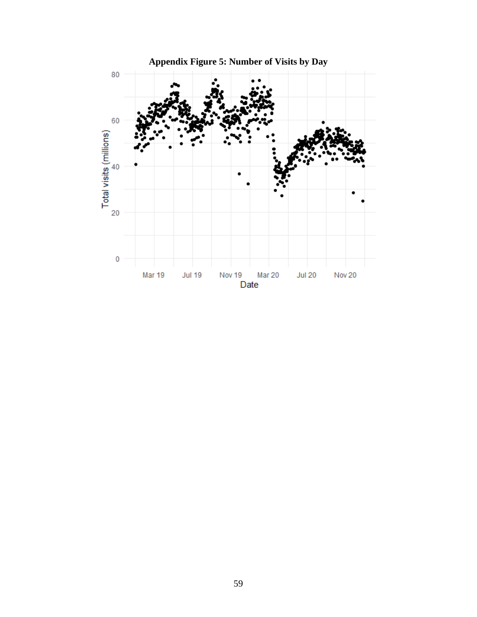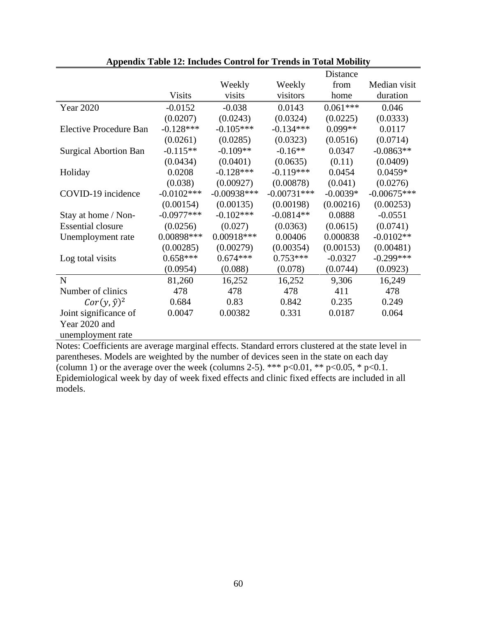|                               |               |               |               | Distance   |               |
|-------------------------------|---------------|---------------|---------------|------------|---------------|
|                               |               | Weekly        | Weekly        | from       | Median visit  |
|                               | <b>Visits</b> | visits        | visitors      | home       | duration      |
| <b>Year 2020</b>              | $-0.0152$     | $-0.038$      | 0.0143        | $0.061***$ | 0.046         |
|                               | (0.0207)      | (0.0243)      | (0.0324)      | (0.0225)   | (0.0333)      |
| <b>Elective Procedure Ban</b> | $-0.128***$   | $-0.105***$   | $-0.134***$   | $0.099**$  | 0.0117        |
|                               | (0.0261)      | (0.0285)      | (0.0323)      | (0.0516)   | (0.0714)      |
| <b>Surgical Abortion Ban</b>  | $-0.115**$    | $-0.109**$    | $-0.16**$     | 0.0347     | $-0.0863**$   |
|                               | (0.0434)      | (0.0401)      | (0.0635)      | (0.11)     | (0.0409)      |
| Holiday                       | 0.0208        | $-0.128***$   | $-0.119***$   | 0.0454     | $0.0459*$     |
|                               | (0.038)       | (0.00927)     | (0.00878)     | (0.041)    | (0.0276)      |
| COVID-19 incidence            | $-0.0102***$  | $-0.00938***$ | $-0.00731***$ | $-0.0039*$ | $-0.00675***$ |
|                               | (0.00154)     | (0.00135)     | (0.00198)     | (0.00216)  | (0.00253)     |
| Stay at home / Non-           | $-0.0977***$  | $-0.102***$   | $-0.0814**$   | 0.0888     | $-0.0551$     |
| <b>Essential closure</b>      | (0.0256)      | (0.027)       | (0.0363)      | (0.0615)   | (0.0741)      |
| Unemployment rate             | 0.00898***    | $0.00918***$  | 0.00406       | 0.000838   | $-0.0102**$   |
|                               | (0.00285)     | (0.00279)     | (0.00354)     | (0.00153)  | (0.00481)     |
| Log total visits              | $0.658***$    | $0.674***$    | $0.753***$    | $-0.0327$  | $-0.299***$   |
|                               | (0.0954)      | (0.088)       | (0.078)       | (0.0744)   | (0.0923)      |
| $\mathbf N$                   | 81,260        | 16,252        | 16,252        | 9,306      | 16,249        |
| Number of clinics             | 478           | 478           | 478           | 411        | 478           |
| $Cor(y, \hat{y})^2$           | 0.684         | 0.83          | 0.842         | 0.235      | 0.249         |
| Joint significance of         | 0.0047        | 0.00382       | 0.331         | 0.0187     | 0.064         |
| Year 2020 and                 |               |               |               |            |               |
| unemployment rate             |               |               |               |            |               |

|  |  |  |  | <b>Appendix Table 12: Includes Control for Trends in Total Mobility</b> |  |  |  |  |  |  |
|--|--|--|--|-------------------------------------------------------------------------|--|--|--|--|--|--|
|--|--|--|--|-------------------------------------------------------------------------|--|--|--|--|--|--|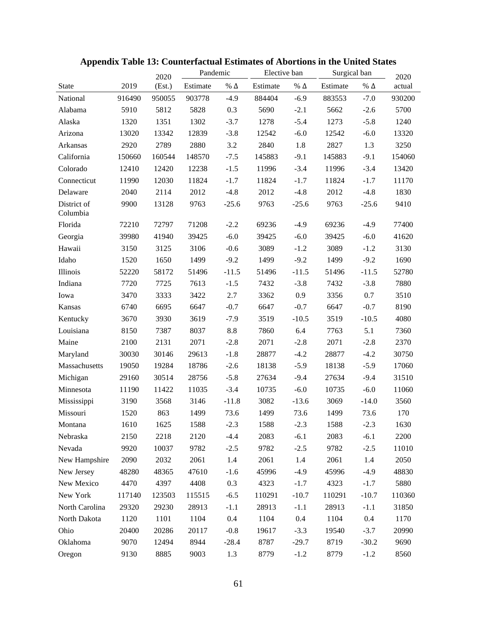|                         |        | 2020   | Pandemic |               | Elective ban |               | Surgical ban |               | 2020   |
|-------------------------|--------|--------|----------|---------------|--------------|---------------|--------------|---------------|--------|
| <b>State</b>            | 2019   | (Est.) | Estimate | $\%$ $\Delta$ | Estimate     | $\%$ $\Delta$ | Estimate     | $\%$ $\Delta$ | actual |
| National                | 916490 | 950055 | 903778   | $-4.9$        | 884404       | $-6.9$        | 883553       | $-7.0$        | 930200 |
| Alabama                 | 5910   | 5812   | 5828     | 0.3           | 5690         | $-2.1$        | 5662         | $-2.6$        | 5700   |
| Alaska                  | 1320   | 1351   | 1302     | $-3.7$        | 1278         | $-5.4$        | 1273         | $-5.8$        | 1240   |
| Arizona                 | 13020  | 13342  | 12839    | $-3.8$        | 12542        | $-6.0$        | 12542        | $-6.0$        | 13320  |
| Arkansas                | 2920   | 2789   | 2880     | 3.2           | 2840         | 1.8           | 2827         | 1.3           | 3250   |
| California              | 150660 | 160544 | 148570   | $-7.5$        | 145883       | $-9.1$        | 145883       | $-9.1$        | 154060 |
| Colorado                | 12410  | 12420  | 12238    | $-1.5$        | 11996        | $-3.4$        | 11996        | $-3.4$        | 13420  |
| Connecticut             | 11990  | 12030  | 11824    | $-1.7$        | 11824        | $-1.7$        | 11824        | $-1.7$        | 11170  |
| Delaware                | 2040   | 2114   | 2012     | $-4.8$        | 2012         | $-4.8$        | 2012         | $-4.8$        | 1830   |
| District of<br>Columbia | 9900   | 13128  | 9763     | $-25.6$       | 9763         | $-25.6$       | 9763         | $-25.6$       | 9410   |
| Florida                 | 72210  | 72797  | 71208    | $-2.2$        | 69236        | $-4.9$        | 69236        | $-4.9$        | 77400  |
| Georgia                 | 39980  | 41940  | 39425    | $-6.0$        | 39425        | $-6.0$        | 39425        | $-6.0$        | 41620  |
| Hawaii                  | 3150   | 3125   | 3106     | $-0.6$        | 3089         | $-1.2$        | 3089         | $-1.2$        | 3130   |
| Idaho                   | 1520   | 1650   | 1499     | $-9.2$        | 1499         | $-9.2$        | 1499         | $-9.2$        | 1690   |
| Illinois                | 52220  | 58172  | 51496    | $-11.5$       | 51496        | $-11.5$       | 51496        | $-11.5$       | 52780  |
| Indiana                 | 7720   | 7725   | 7613     | $-1.5$        | 7432         | $-3.8$        | 7432         | $-3.8$        | 7880   |
| Iowa                    | 3470   | 3333   | 3422     | 2.7           | 3362         | 0.9           | 3356         | 0.7           | 3510   |
| Kansas                  | 6740   | 6695   | 6647     | $-0.7$        | 6647         | $-0.7$        | 6647         | $-0.7$        | 8190   |
| Kentucky                | 3670   | 3930   | 3619     | $-7.9$        | 3519         | $-10.5$       | 3519         | $-10.5$       | 4080   |
| Louisiana               | 8150   | 7387   | 8037     | 8.8           | 7860         | 6.4           | 7763         | 5.1           | 7360   |
| Maine                   | 2100   | 2131   | 2071     | $-2.8$        | 2071         | $-2.8$        | 2071         | $-2.8$        | 2370   |
| Maryland                | 30030  | 30146  | 29613    | $-1.8$        | 28877        | $-4.2$        | 28877        | $-4.2$        | 30750  |
| Massachusetts           | 19050  | 19284  | 18786    | $-2.6$        | 18138        | $-5.9$        | 18138        | $-5.9$        | 17060  |
| Michigan                | 29160  | 30514  | 28756    | $-5.8$        | 27634        | $-9.4$        | 27634        | $-9.4$        | 31510  |
| Minnesota               | 11190  | 11422  | 11035    | $-3.4$        | 10735        | $-6.0$        | 10735        | $-6.0$        | 11060  |
| Mississippi             | 3190   | 3568   | 3146     | $-11.8$       | 3082         | $-13.6$       | 3069         | $-14.0$       | 3560   |
| Missouri                | 1520   | 863    | 1499     | 73.6          | 1499         | 73.6          | 1499         | 73.6          | 170    |
| Montana                 | 1610   | 1625   | 1588     | $-2.3$        | 1588         | $-2.3$        | 1588         | $-2.3$        | 1630   |
| Nebraska                | 2150   | 2218   | 2120     | $-4.4$        | 2083         | $-6.1$        | 2083         | $-6.1$        | 2200   |
| Nevada                  | 9920   | 10037  | 9782     | $-2.5$        | 9782         | $-2.5$        | 9782         | $-2.5$        | 11010  |
| New Hampshire           | 2090   | 2032   | 2061     | 1.4           | 2061         | 1.4           | 2061         | 1.4           | 2050   |
| New Jersey              | 48280  | 48365  | 47610    | $-1.6$        | 45996        | $-4.9$        | 45996        | $-4.9$        | 48830  |
| New Mexico              | 4470   | 4397   | 4408     | 0.3           | 4323         | $-1.7$        | 4323         | $-1.7$        | 5880   |
| New York                | 117140 | 123503 | 115515   | $-6.5$        | 110291       | $-10.7$       | 110291       | $-10.7$       | 110360 |
| North Carolina          | 29320  | 29230  | 28913    | $-1.1$        | 28913        | $-1.1$        | 28913        | $-1.1$        | 31850  |
| North Dakota            | 1120   | 1101   | 1104     | 0.4           | 1104         | 0.4           | 1104         | 0.4           | 1170   |
| Ohio                    | 20400  | 20286  | 20117    | $-0.8$        | 19617        | $-3.3$        | 19540        | $-3.7$        | 20990  |
| Oklahoma                | 9070   | 12494  | 8944     | $-28.4$       | 8787         | $-29.7$       | 8719         | $-30.2$       | 9690   |
| Oregon                  | 9130   | 8885   | 9003     | 1.3           | 8779         | $-1.2$        | 8779         | $-1.2$        | 8560   |

# **Appendix Table 13: Counterfactual Estimates of Abortions in the United States**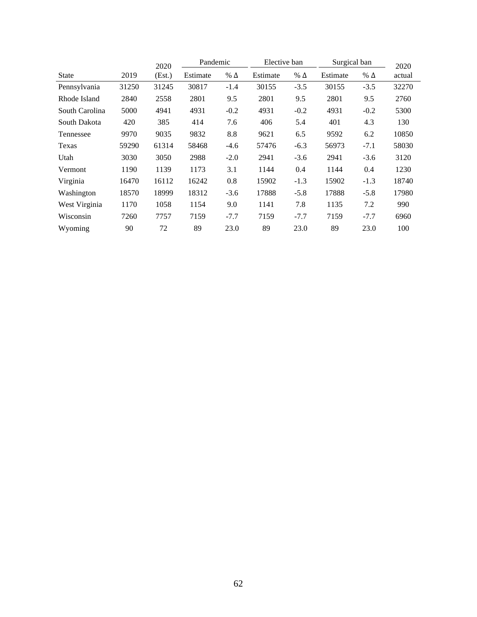|                |       | 2020   | Pandemic<br>Elective ban |            | Surgical ban | 2020       |          |            |        |
|----------------|-------|--------|--------------------------|------------|--------------|------------|----------|------------|--------|
| State          | 2019  | (Est.) | Estimate                 | % $\Delta$ | Estimate     | % $\Delta$ | Estimate | % $\Delta$ | actual |
| Pennsylvania   | 31250 | 31245  | 30817                    | $-1.4$     | 30155        | $-3.5$     | 30155    | $-3.5$     | 32270  |
| Rhode Island   | 2840  | 2558   | 2801                     | 9.5        | 2801         | 9.5        | 2801     | 9.5        | 2760   |
| South Carolina | 5000  | 4941   | 4931                     | $-0.2$     | 4931         | $-0.2$     | 4931     | $-0.2$     | 5300   |
| South Dakota   | 420   | 385    | 414                      | 7.6        | 406          | 5.4        | 401      | 4.3        | 130    |
| Tennessee      | 9970  | 9035   | 9832                     | 8.8        | 9621         | 6.5        | 9592     | 6.2        | 10850  |
| Texas          | 59290 | 61314  | 58468                    | $-4.6$     | 57476        | $-6.3$     | 56973    | $-7.1$     | 58030  |
| Utah           | 3030  | 3050   | 2988                     | $-2.0$     | 2941         | $-3.6$     | 2941     | $-3.6$     | 3120   |
| Vermont        | 1190  | 1139   | 1173                     | 3.1        | 1144         | 0.4        | 1144     | 0.4        | 1230   |
| Virginia       | 16470 | 16112  | 16242                    | 0.8        | 15902        | $-1.3$     | 15902    | $-1.3$     | 18740  |
| Washington     | 18570 | 18999  | 18312                    | $-3.6$     | 17888        | $-5.8$     | 17888    | $-5.8$     | 17980  |
| West Virginia  | 1170  | 1058   | 1154                     | 9.0        | 1141         | 7.8        | 1135     | 7.2        | 990    |
| Wisconsin      | 7260  | 7757   | 7159                     | $-7.7$     | 7159         | $-7.7$     | 7159     | $-7.7$     | 6960   |
| Wyoming        | 90    | 72     | 89                       | 23.0       | 89           | 23.0       | 89       | 23.0       | 100    |